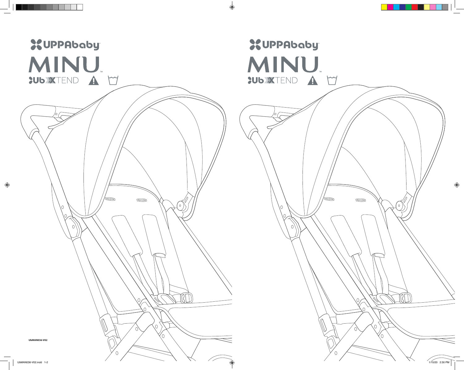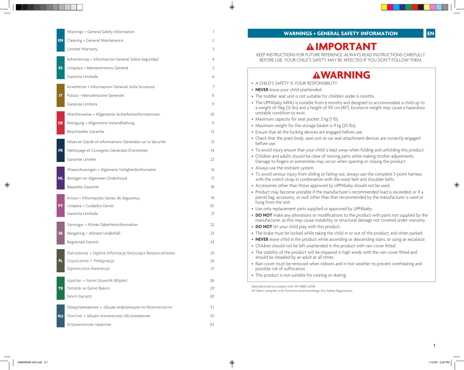|           | Warnings + General Safety Information                    | 1                 |
|-----------|----------------------------------------------------------|-------------------|
| <b>EN</b> | Cleaning + General Maintenance                           | 2                 |
|           | Limited Warranty                                         | 3                 |
|           | Advertencias + Información General Sobre Seguridad       | 4                 |
| <b>ES</b> | Limpieza + Mantenimiento General                         | 5                 |
|           | Garantía Limitada                                        | 6                 |
|           | Avvertenze + Informazioni Generali Sulla Sicurezza       | 7                 |
| IT.       | Pulizia + Manutenzione Generale                          | 8                 |
|           | Garanzia Limitata                                        | 9                 |
|           | Warnhinweise + Allgemeine Sicherheitsinformationen       | 10                |
| DE        | Reinigung + Allgemeine Instandhaltung                    | 11                |
|           | Beschränkte Garantie                                     | $12 \overline{ }$ |
|           | Mises en Garde et Informations Générales sur la Sécurité | 13                |
| <b>FR</b> | Nettoyage et Consignes Générales D'entretien             | 14                |
|           | Garantie Limitée                                         | 22.               |
|           | Waarschuwingen + Algemene Veiligheidsinformatie          | 16                |
| <b>NL</b> | Reinigen en Algemeen Onderhoud                           | 17                |
|           | Beperkte Garantie                                        | 18                |
|           | Avisos + Informações Gerais de Segurança                 | 19                |
| PT        | Limpeza + Cuidados Gerais                                | 20                |
|           | Garantia Limitada                                        | 21                |
|           | Varningar + Allmän Säkerhetsinformation                  | 22                |
| <b>SE</b> | Rengöring + Allmänt Underhåll                            | 23                |
|           | Begränsad Garanti                                        | 24                |
|           | Ostrzeżenia + Ogólne Informacje Dotyczące Bezpieczeństwa | 25                |
| PL        | Czyszczenie + Pielęgnacja                                | 26                |
|           | Ograniczona Gwarancja                                    | 27                |
|           | Uyarilar + Genel Güvenlik Bilgileri                      | 28                |
| <b>TR</b> | Temizlik ve Genel Bakım                                  | 29                |
|           | Sinirli Garanti                                          | 30                |
|           | Предупреждения + общая информация по безопасности        | 31                |
| <b>RU</b> | Очистка + общее техническое обслуживание                 | 32                |
|           | Ограниченная гарантия                                    | 33                |

# **IMPORTANT**

KEEP INSTRUCTIONS FOR FUTURE REFERENCE. ALWAYS READ INSTRUCTIONS CAREFULLY BEFORE USE. YOUR CHILD'S SAFETY MAY BE AFFECTED IF YOU DON'T FOLLOW THEM.

# **WARNING**

| • A CHILD'S SAFETY IS YOUR RESPONSIBILITY.                                                                                                                                                                                |
|---------------------------------------------------------------------------------------------------------------------------------------------------------------------------------------------------------------------------|
| • NEVER leave your child unattended.                                                                                                                                                                                      |
| • The toddler seat unit is not suitable for children under 6 months.                                                                                                                                                      |
| • The UPPAbaby MINU is suitable from 6 months and designed to accommodate a child up to<br>a weight of 15kg (33 lbs) and a height of 101 cm (40"). Excessive weight may cause a hazardous<br>unstable condition to exist. |
| • Maximum capacity for seat pocket .5 kg (1 lb).                                                                                                                                                                          |
| • Maximum weight for the storage basket is 9 kg (20 lbs).                                                                                                                                                                 |
| • Ensure that all the locking devices are engaged before use.                                                                                                                                                             |
| • Check that the pram body, seat unit or car seat attachment devices are correctly engaged<br>before use.                                                                                                                 |
| • To avoid injury ensure that your child is kept away when folding and unfolding this product.                                                                                                                            |
| • Children and adults should be clear of moving parts while making stroller adjustments.<br>Damage to fingers or extremities may occur when opening or closing the product.                                               |
| • Always use the restraint system.                                                                                                                                                                                        |
| • To avoid serious injury from sliding or falling out, always use the complete 5-point harness<br>with the crotch strap in combination with the waist belt and shoulder belts.                                            |
| • Accessories other than those approved by UPPAbaby should not be used.                                                                                                                                                   |
| • Product may become unstable if the manufacturer's recommended load is exceeded, or if a<br>parcel bag, accessory, or rack other than that recommended by the manufacturer is used or<br>hung from the unit.             |
| • Use only replacement parts supplied or approved by UPPAbaby.                                                                                                                                                            |
| • DO NOT make any alterations or modifications to the product with parts not supplied by the<br>manufacturer, as this may cause instability or structural damage not covered under warranty.                              |
| • DO NOT let your child play with this product.                                                                                                                                                                           |
| • The brake must be locked while taking the child in or out of the product, and when parked.                                                                                                                              |
| • NEVER leave child in the product while ascending or descending stairs, or using an escalator.                                                                                                                           |
| • Children should not be left unattended in the product with rain cover fitted.                                                                                                                                           |
| • The stability of the product will be impaired in high winds with the rain cover fitted and<br>should be steadied by an adult at all times.                                                                              |
| • Rain cover must be removed when indoors and in hot weather to prevent overheating and<br>possible risk of suffocation.                                                                                                  |
| • This product is not suitable for running or skating.                                                                                                                                                                    |
| Manufactured to comply with: EN 1888-1:2018.                                                                                                                                                                              |

*All fabric complies with Furniture and Furnishings Fire Safety Regulations.* 

**EN**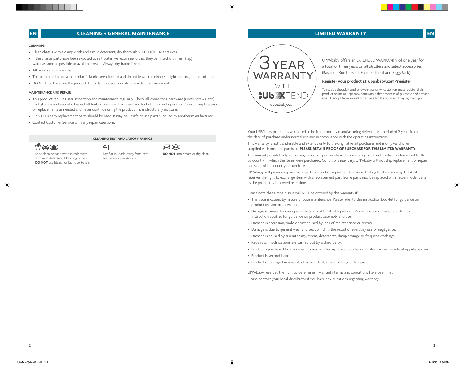# **CLEANING + GENERAL MAINTENANCE**

### **CLEANING:**

- Clean chassis with a damp cloth and a mild detergent; dry thoroughly. DO NOT use abrasives.
- If the chassis parts have been exposed to salt water we recommend that they be rinsed with fresh (tap) water as soon as possible to avoid corrosion. Always dry frame if wet.
- All fabrics are removable.
- To extend the life of your product's fabric, keep it clean and do not leave it in direct sunlight for long periods of time.
- DO NOT fold or store the product if it is damp or wet, nor store in a damp environment.

## **MAINTENANCE AND REPAIR:**

- This product requires user inspection and maintenance regularly. Check all connecting hardware (rivets, screws, etc.) for tightness and security. Inspect all brakes, tires, seat harnesses and locks for correct operation. Seek prompt repairs or replacements as needed and never continue using the product if it is structurally not safe.
- Only UPPAbaby replacement parts should be used. It may be unsafe to use parts supplied by another manufacturer.

**CLEANING SEAT AND CANOPY FABRICS**

召

• Contact Customer Service with any repair questions.



Spot clean or hand wash in cold water with mild detergent. No wring or twist. **DO NOT** use bleach or fabric softeners. Dry flat in shade, away from heat before re-use or storage.

**DO NOT** iron, steam or dry clean.

 $\rtimes\!\!\!\!\times$ 



UPPAbaby offers an EXTENDED WARRANTY of one year for a total of three years on all strollers and select accessories (Bassinet, RumbleSeat, From Birth Kit and PiggyBack).

### **Register your product at: uppababy.com/register**

To receive the additional one-year warranty, customers must register their product online at uppababy.com within three months of purchase and provide a valid receipt from an authorized retailer. It's our way of saying thank you!

Your UPPAbaby product is warranted to be free from any manufacturing defects for a period of 2 years from the date of purchase under normal use and in compliance with the operating instructions.

This warranty is not transferable and extends only to the original retail purchaser and is only valid when supplied with proof of purchase. **PLEASE RETAIN PROOF OF PURCHASE FOR THIS LIMITED WARRANTY.** 

The warranty is valid only in the original country of purchase. This warranty is subject to the conditions set forth by country in which the items were purchased. Conditions may vary. UPPAbaby will not ship replacement or repair parts out of the country of purchase.

UPPAbaby will provide replacement parts or conduct repairs as determined fitting by the company. UPPAbaby reserves the right to exchange item with a replacement part. Some parts may be replaced with newer model parts as the product is improved over time.

Please note that a repair issue will NOT be covered by this warranty if:

- The issue is caused by misuse or poor maintenance. Please refer to this instruction booklet for guidance on product use and maintenance.
- Damage is caused by improper installation of UPPAbaby parts and/or accessories. Please refer to this instruction booklet for guidance on product assembly and use.
- Damage is corrosion, mold or rust caused by lack of maintenance or service.
- Damage is due to general wear and tear, which is the result of everyday use or negligence.
- Damage is caused by sun intensity, sweat, detergents, damp storage or frequent washings.
- Repairs or modifications are carried out by a third party.
- Product is purchased from an unauthorized retailer. Approved retailers are listed on our website at uppababy.com.
- Product is second-hand.
- Product is damaged as a result of an accident, airline or freight damage.

UPPAbaby reserves the right to determine if warranty terms and conditions have been met. Please contact your local distributor if you have any questions regarding warranty.

**LIMITED WARRANTY EN**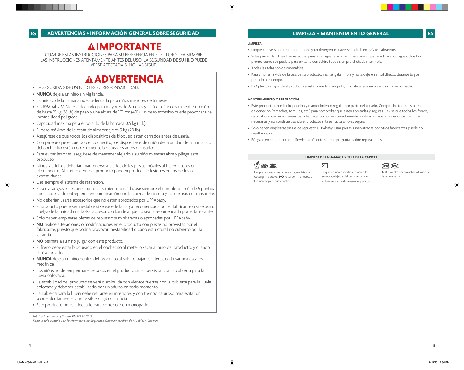# **IMPORTANTE**

GUARDE ESTAS INSTRUCCIONES PARA SU REFERENCIA EN EL FUTURO. LEA SIEMPRE LAS INSTRUCCIONES ATENTAMENTE ANTES DEL USO. LA SEGURIDAD DE SU HIJO PUEDE VERSE AFECTADA SI NO LAS SIGUE.

# **ADVERTENCIA**

- LA SEGURIDAD DE UN NIÑO ES SU RESPONSABILIDAD.
- **NUNCA** deje a un niño sin vigilancia.
- La unidad de la hamaca no es adecuada para niños menores de 6 meses.
- El UPPAbaby MINU es adecuado para mayores de 6 meses y está diseñado para sentar un niño de hasta 15 kg (33 lb) de peso y una altura de 101 cm (40"). Un peso excesivo puede provocar una inestabilidad peligrosa.
- Capacidad máxima para el bolsillo de la hamaca 0,5 kg (1 lb).
- El peso máximo de la cesta de almacenaje es 9 kg (20 lb).
- Asegúrese de que todos los dispositivos de bloqueo están cerrados antes de usarla.
- Compruebe que el cuerpo del cochecito, los dispositivos de unión de la unidad de la hamaca o del cochecito están correctamente bloqueados antes de usarlo.
- Para evitar lesiones, asegúrese de mantener alejado a su niño mientras abre y pliega este producto.
- Niños y adultos deberían mantenerse alejados de las piezas móviles al hacer ajustes en el cochecito. Al abrir o cerrar el producto pueden producirse lesiones en los dedos o extremidades.
- Use siempre el sistema de retención.
- Para evitar graves lesiones por deslizamiento o caída, use siempre el completo arnés de 5 puntos con la correa de entrepierna en combinación con la correa de cintura y las correas de transporte.
- No deberían usarse accesorios que no estén aprobados por UPPAbaby.
- El producto puede ser inestable si se excede la carga recomendada por el fabricante o si se usa o cuelga de la unidad una bolsa, accesorio o bandeja que no sea la recomendada por el fabricante.
- Solo deben emplearse piezas de repuesto suministradas o aprobadas por UPPAbaby.
- **NO** realice alteraciones o modificaciones en el producto con piezas no provistas por el fabricante, puesto que podría provocar inestabilidad o daño estructural no cubierto por la garantía.
- **NO** permita a su niño ju gar con este producto.
- El freno debe estar bloqueado en el cochecito al meter o sacar al niño del producto, y cuando esté aparcado.
- **NUNCA** deje a un niño dentro del producto al subir o bajar escaleras, o al usar una escalera mecánica.
- Los niños no deben permanecer solos en el producto sin supervisión con la cubierta para la lluvia colocada.
- La estabilidad del producto se verá disminuida con vientos fuertes con la cubierta para la lluvia colocada y debe ser estabilizado por un adulto en todo momento.
- La cubierta para la lluvia debe retirarse en interiores y con tiempo caluroso para evitar un sobrecalentamiento y un posible riesgo de asfixia.
- Este producto no es adecuado para correr o ir en monopatín.

*Fabricado para cumplir con: EN 1888-1:2018.*

*Toda la tela cumple con la Normativa de Seguridad Contraincendios de Muebles y Enseres.*

# **LIMPIEZA + MANTENIMIENTO GENERAL**

### **LIMPIEZA:**

- Limpie el chasis con un trapo húmedo y un detergente suave; séquelo bien. NO use abrasivos.
- Si las piezas del chasis han estado expuestas al agua salada, recomendamos que se aclaren con agua dulce tan pronto como sea posible para evitar la corrosión. Seque siempre el chasis si se moja.
- Todas las telas son desmontables.
- Para ampliar la vida de la tela de su producto, manténgala limpia y no la deje en el sol directo durante largos periodos de tiempo.
- NO pliegue ni guarde el producto si está húmedo o mojado, ni lo almacene en un entorno con humedad.

# **MANTENIMIENTO Y REPARACIÓN:**

- Este producto necesita inspección y mantenimiento regular por parte del usuario. Compruebe todas las piezas de conexión (remaches, tornillos, etc.) para comprobar que estén apretadas y seguras. Revise que todos los frenos, neumáticos, cierres y arneses de la hamaca funcionan correctamente. Realice las reparaciones o sustituciones necesarias y no continúe usando el producto si la estructura no es segura.
- Solo deben emplearse piezas de repuesto UPPAbaby. Usar piezas suministradas por otros fabricantes puede no resultar seguro.

**LIMPIEZA DE LA HAMACA Y TELA DE LA CAPOTA**

• Póngase en contacto con el Servicio al Cliente si tiene preguntas sobre reparaciones.

# $\frac{1}{2}$   $\frac{1}{2}$

# Ľ

Limpie las manchas o lave en agua fría con detergente suave. **NO** retorcer ni enroscar. No usar lejía ni suavizantes.

Seque en una superficie plana a la sombra, alejada del calor antes de volver a usar o almacenar el producto.

 $\rtimes\!\!\!\!\times$ **NO** planchar ni planchar al vapor o lavar en seco.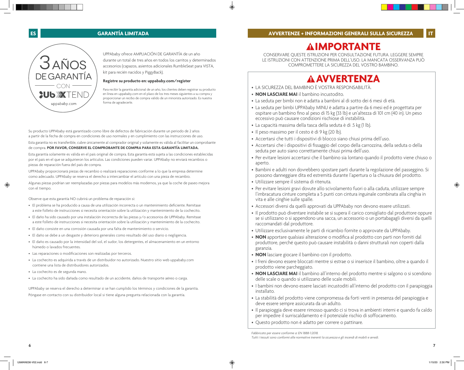**IMPORTANTE**



UPPAbaby ofrece AMPLIACIÓN DE GARANTÍA de un año durante un total de tres años en todos los carritos y determinados accesorios (capazos, asientos adicionales RumbleSeat para VISTA, kit para recién nacidos y PiggyBack).

# **Registre su producto en: uppababy.com/register**

Para recibir la garantía adicional de un año, los clientes deben registrar su producto en línea en uppababy.com en el plazo de los tres meses siguientes a su compra y proporcionar un recibo de compra válido de un minorista autorizado. Es nuestra forma de agradecerle.

Su producto UPPAbaby está garantizado como libre de defectos de fabricación durante un periodo de 2 años a partir de la fecha de compra en condiciones de uso normales y en cumplimiento con las instrucciones de uso.

Esta garantía no es transferible, cubre únicamente al comprador original y solamente es válida al facilitar un comprobante de compra. **POR FAVOR, CONSERVE EL COMPROBANTE DE COMPRA PARA ESTA GARANTÍA LIMITADA.** 

Esta garantía solamente es válida en el país original de compra. Esta garantía está sujeta a las condiciones establecidas por el país en el que se adquirieron los artículos. Las condiciones pueden variar. UPPAbaby no enviará recambios o piezas de reparación fuera del país de compra.

UPPAbaby proporcionará piezas de recambio o realizará reparaciones conforme a lo que la empresa determine como adecuado. UPPAbaby se reserva el derecho a intercambiar el artículo con una pieza de recambio.

Algunas piezas podrían ser reemplazadas por piezas para modelos más modernos, ya que la coche de paseo mejora con el tiempo.

Observe que esta garantía NO cubrirá un problema de reparación si:

- El problema se ha producido a causa de una utilización incorrecta o un mantenimiento deficiente. Remítase a este folleto de instrucciones si necesita orientación sobre la utilización y mantenimiento de la cochecito.
- El daño ha sido causado por una instalación incorrecta de las piezas y/o accesorios de UPPAbaby. Remítase a este folleto de instrucciones si necesita orientación sobre la utilización y mantenimiento de la cochecito.
- El daño consiste en una corrosión causada por una falta de mantenimiento o servicio.
- El daño se debe a un desgaste y deterioro generales como resultado del uso diario o negligencia.
- El daño es causado por la intensidad del sol, el sudor, los detergentes, el almacenamiento en un entorno húmedo o lavados frecuentes.
- Las reparaciones o modificaciones son realizadas por terceros.
- La cochecito es adquirida a través de un distribuidor no autorizado. Nuestro sitio web uppababy.com contiene una lista de distribuidores autorizados.
- La cochecito es de segunda mano.
- La cochecito ha sido dañada como resultado de un accidente, daños de transporte aéreo o carga.

UPPAbaby se reserva el derecho a determinar si se han cumplido los términos y condiciones de la garantía. Póngase en contacto con su distribuidor local si tiene alguna pregunta relacionada con la garantía.

CONSERVARE QUESTE ISTRUZIONI PER CONSULTAZIONE FUTURA. LEGGERE SEMPRE LE ISTRUZIONI CON ATTENZIONE PRIMA DELL'USO. LA MANCATA OSSERVANZA PUÒ COMPROMETTERE LA SICUREZZA DEL VOSTRO BAMBINO.

# **AVVERTENZA**

- LA SICUREZZA DEL BAMBINO È VOSTRA RESPONSABILITÀ.
- **NON LASCIARE MAI** il bambino incustodito.
- La seduta per bimbi non è adatta a bambini al di sotto dei 6 mesi di età.
- La seduta per bimbi UPPAbaby MINU è adatta a partire da 6 mesi ed è progettata per ospitare un bambino fino al peso di 15 kg (33 lb) e un'altezza di 101 cm (40 in). Un peso eccessivo può causare condizioni rischiose di instabilità.
- La capacità massima della tasca della seduta è di .5 kg (1 lb).
- Il peso massimo per il cesto è di 9 kg (20 lb).
- Accertarsi che tutti i dispositivi di blocco siano chiusi prima dell'uso.
- Accertarsi che i dispositivi di fissaggio del corpo della carrozzina, della seduta o della seduta per auto siano correttamente chiusi prima dell'uso.
- Per evitare lesioni accertarsi che il bambino sia lontano quando il prodotto viene chiuso o aperto.
- Bambini e adulti non dovrebbero spostare parti durante la regolazione del passeggino. Si possono danneggiare dita ed estremità durante l'apertura o la chiusura del prodotto.
- Utilizzare sempre il sistema di ritenuta.
- Per evitare lesioni gravi dovute allo scivolamento fuori o alla caduta, utilizzare sempre l'imbracatura cinture completa a 5 punti con cintura inguinale combinata alla cinghia in vita e alle cinghie sulle spalle.
- Accessori diversi da quelli approvati da UPPAbaby non devono essere utilizzati.
- Il prodotto può diventare instabile se si supera il carico consigliato dal produttore oppure se si utilizzano o si appendono una sacca, un accessorio o un portabagagli diversi da quelli raccomandati dal produttore.
- Utilizzare esclusivamente le parti di ricambio fornite o approvate da UPPAbaby.
- **NON** apportare qualsiasi alterazione o modifica al prodotto con parti non forniti dal produttore, perché questo può causare instabilità o danni strutturali non coperti dalla garanzia.
- **NON** lasciare giocare il bambino con il prodotto.
- I freni devono essere bloccati mentre si estrae o si inserisce il bambino, oltre a quando il prodotto viene parcheggiato.
- **NON LASCIARE MAI** il bambino all'interno del prodotto mentre si salgono o si scendono delle scale o quando si utilizzano delle scale mobili.
- I bambini non devono essere lasciati incustoditi all'interno del prodotto con il parapioggia installato.
- La stabilità del prodotto viene compromessa da forti venti in presenza del parapioggia e deve essere sempre assicurata da un adulto.
- Il parapioggia deve essere rimosso quando ci si trova in ambienti interni e quando fa caldo per impedire il surriscaldamento e il potenziale rischio di soffocamento.
- Questo prodotto non è adatto per correre o pattinare.

*Fabbricato per essere conforme a: EN 1888-1:2018.*

*Tutti i tessuti sono conformi alle normative inerenti la sicurezza e gli incendi di mobili e arredi*.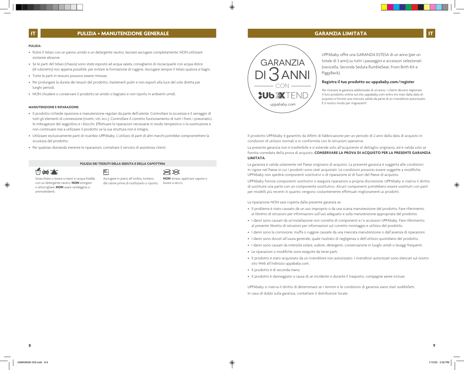# **IT PULIZIA + MANUTENZIONE GENERALE**

### **PULIZIA:**

- Pulire il telaio con un panno umido e un detergente neutro, lasciare asciugare completamente. NON utilizzare sostanze abrasive.
- Se le parti del telaio (chassis) sono state esposte ad acqua salata, consigliamo di risciacquarle con acqua dolce (di rubinetto) non appena possibile, per evitare la formazione di ruggine. Asciugare sempre il telaio qualora si bagni.
- Tutte le parti in tessuto possono essere rimosse.
- Per prolungare la durata dei tessuti del prodotto, mantenerli puliti e non esporli alla luce del sole diretta per lunghi periodi.
- NON chiudere o conservare il prodotto se umido o bagnato e non riporlo in ambienti umidi.

### **MANUTENZIONE E RIPARAZIONE:**

- Il prodotto richiede ispezione e manutenzione regolari da parte dell'utente. Controllare la sicurezza e il serraggio di tutti gli elementi di connessione (rivetti, viti, ecc.). Controllare il corretto funzionamento di tutti i freni, i pneumatici, le imbragature del seggiolino e i blocchi. Effettuare le riparazioni necessarie in modo tempestivo o la sostituzione e non continuare mai a utilizzare il prodotto se la sua struttura non è integra.
- Utilizzare esclusivamente parti di ricambio UPPAbaby. L'utilizzo di parti di altri marchi potrebbe compromettere la sicurezza del prodotto.
- Per qualsiasi domanda inerente le riparazioni, contattare il servizio di assistenza clienti.

### **PULIZIA DEI TESSUTI DELLA SEDUTA E DELLA CAPOTTINA**



 $\boxtimes$ 



Smacchiare o lavare a mano in acqua fredda con un detergente neutro. **NON** stringere o attorcigliare. **NON** usare candeggina o ammorbidenti.

Asciugare in piano all'ombra, lontano dal calore prima di riutilizzarlo o riporlo. **NON** stirare, applicare vapore o lavare a secco.



**GARANZIA LIMITATA ITT** 

UPPAbaby offre una GARANZIA ESTESA di un anno (per un totale di 3 anni) su tutti i passeggini e accessori selezionati (navicella, Seconda Seduta RumbleSeat, From Birth Kit e PiggyBack).

### **Registra il tuo prodotto su: uppababy.com/register**

Per ricevere la garanzia addizionale di un anno, i clienti devono registrare il loro prodotto online sul sito uppababy.com entro tre mesi dalla data di acquisto e fornire una ricevuta valida da parte di un rivenditore autorizzato. È il nostro modo per ringraziarti!

Il prodotto UPPAbaby è garantito da difetti di fabbricazione per un periodo di 2 anni dalla data di acquisto in condizioni di utilizzo normali e in conformità con le istruzioni operative.

La presente garanzia non è trasferibile e si estende solo all'acquirente al dettaglio originario, ed è valida solo se fornita corredata della prova di acquisto. **CONSERVARE LA PROVA DI ACQUISTO PER LA PRESENTE GARANZIA LIMITATA.**

La garanzia è valida solamente nel Paese originario di acquisto. La presente garanzia è soggetta alle condizioni in vigore nel Paese in cui i prodotti sono stati acquistati. Le condizioni possono essere soggette a modifiche. UPPAbaby non spedirà componenti sostitutivi o di riparazione al di fuori del Paese di acquisto.

UPPAbaby fornirà componenti sostitutivi o eseguirà riparazioni a propria discrezione. UPPAbaby si riserva il diritto di sostituire una parte con un componente sostitutivo. Alcuni componenti potrebbero essere sostituiti con parti per modelli più recenti in quanto vengono costantemente effettuati miglioramenti ai prodotti.

La riparazione NON sarà coperta dalla presente garanzia se:

- Il problema è stato causato da un uso improprio o da una scarsa manutenzione del prodotto. Fare riferimento al libretto di istruzioni per informazioni sull'uso adeguato e sulla manutenzione appropriata del prodotto.
- I danni sono causati da un'installazione non corretta di componenti e/o accessori UPPAbaby. Fare riferimento al presente libretto di istruzioni per informazioni sul corretto montaggio e utilizzo del prodotto.
- I danni sono la corrosione, muffa o ruggine causate da una mancata manutenzione o dall'assenza di riparazioni.
- I danni sono dovuti all'usura generale, quale risultato di negligenza o dell'utilizzo quotidiano del prodotto.
- I danni sono causati da intensità solare, sudore, detergenti, conservazione in luoghi umidi o lavaggi frequenti.
- Le riparazioni o modifiche sono eseguite da terze parti.
- Il prodotto è stato acquistato da un rivenditore non autorizzato. I rivenditori autorizzati sono elencati sul nostro sito Web all'indirizzo uppababy.com.
- Il prodotto è di seconda mano.
- Il prodotto è danneggiato a causa di un incidente o durante il trasporto, compagnie aeree incluse.

UPPAbaby si riserva il diritto di determinare se i termini e le condizioni di garanzia siano stati soddisfatti. In caso di dubbi sulla garanzia, contattare il distributore locale.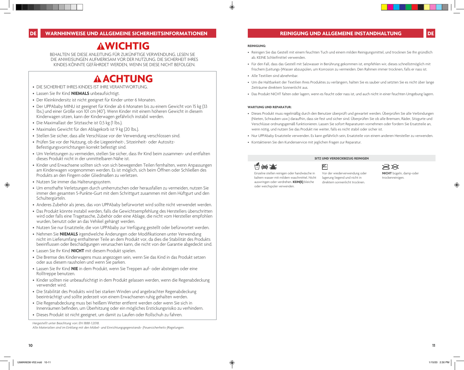# **AWICHTIG**

BEHALTEN SIE DIESE ANLEITUNG FÜR ZUKÜNFTIGE VERWENDUNG. LESEN SIE DIE ANWEISUNGEN AUFMERKSAM VOR DER NUTZUNG. DIE SICHERHEIT IHRES KINDES KÖNNTE GEFÄHRDET WERDEN, WENN SIE DIESE NICHT BEFOLGEN.

# **ACHTUNG**

- DIE SICHERHEIT IHRES KINDES IST IHRE VERANTWORTUNG.
- Lassen Sie Ihr Kind **NIEMALS** unbeaufsichtigt.
- Der Kleinkindersitz ist nicht geeignet für Kinder unter 6 Monaten.
- Der UPPAbaby MINU ist geeignet für Kinder ab 6 Monaten bis zu einem Gewicht von 15 kg (33 lbs.) und einer Größe von 101 cm (40"). Wenn Kinder mit einem höheren Gewicht in diesem Kinderwagen sitzen, kann der Kinderwagen gefährlich instabil werden.
- Die Maximallast der Sitztasche ist 0,5 kg (1 lbs.).
- Maximales Gewicht für den Ablagekorb ist 9 kg (20 lbs.).
- Stellen Sie sicher, dass alle Verschlüsse vor der Verwendung verschlossen sind.
- Prüfen Sie vor der Nutzung, ob die Liegeeinheit-, Sitzeinheit- oder Autositz-Befestigungsvorrichtungen korrekt befestigt sind.
- Um Verletzungen zu vermeiden, stellen Sie sicher, dass Ihr Kind beim zusammen- und entfalten dieses Produkt nicht in der unmittelbaren Nähe ist.
- Kinder und Erwachsene sollten sich von sich bewegenden Teilen fernhalten, wenn Anpassungen am Kinderwagen vorgenommen werden. Es ist möglich, sich beim Öffnen oder Schließen des Produkts an den Fingern oder Gliedmaßen zu verletzen.
- Nutzen Sie immer das Halterungssystem.
- Um ernsthafte Verletzungen durch umherrutschen oder herausfallen zu vermeiden, nutzen Sie immer den gesamten 5-Punkte-Gurt mit dem Schrittgurt zusammen mit dem Hüftgurt und den Schultergürteln.
- Anderes Zubehör als jenes, das von UPPAbaby befürwortet wird sollte nicht verwendet werden.
- Das Produkt könnte instabil werden, falls die Gewichtsempfehlung des Herstellers überschritten wird oder falls eine Tragetasche, Zubehör oder eine Ablage, die nicht vom Hersteller empfohlen wurden, benutzt oder an das Vehikel gehängt werden.
- Nutzen Sie nur Ersatzteile, die von UPPAbaby zur Verfügung gestellt oder befürwortet werden.
- Nehmen Sie **NIEMALS** irgendwelche Änderungen oder Modifikationen unter Verwendung nicht im Lieferumfang enthaltener Teile an dem Produkt vor, da dies die Stabilität des Produkts beeinflussen oder Beschädigungen verursachen kann, die nicht von der Garantie abgedeckt sind.
- Lassen Sie Ihr Kind **NICHT** mit diesem Produkt spielen.
- Die Bremse des Kinderwagens muss angezogen sein, wenn Sie das Kind in das Produkt setzen oder aus diesem rausholen und wenn Sie parken.
- Lassen Sie Ihr Kind **NIE** in dem Produkt, wenn Sie Treppen auf- oder absteigen oder eine Rolltreppe benutzen.
- Kinder sollten nie unbeaufsichtigt in dem Produkt gelassen werden, wenn die Regenabdeckung verwendet wird.
- Die Stabilität des Produkts wird bei starken Winden und angebrachter Regenabdeckung beeinträchtigt und sollte jederzeit von einem Erwachsenen ruhig gehalten werden.
- Die Regenabdeckung muss bei heißem Wetter entfernt werden oder wenn Sie sich in Innenräumen befinden, um Überhitzung oder ein mögliches Erstickungsrisiko zu verhindern.
- Dieses Produkt ist nicht geeignet, um damit zu Laufen oder Rollschuh zu fahren.

*Hergestellt unter Beachtung von: EN 1888-1:2018.*

### **REINIGUNG:**

- Reinigen Sie das Gestell mit einem feuchten Tuch und einem milden Reinigungsmittel, und trocknen Sie Ihn gründlich ab. KEINE Schleifmittel verwenden.
- Für den Fall, dass das Gestell mit Salzwasser in Berührung gekommen ist, empfehlen wir, dieses schnellstmöglich mit frischem (Leitungs-)Wasser abzuspülen, um Korrosion zu vermeiden. Den Rahmen immer trocknen, falls er nass ist.
- Alle Textilien sind abnehmbar.
- Um die Haltbarkeit der Textilien Ihres Produktes zu verlängern, halten Sie es sauber und setzten Sie es nicht über lange Zeiträume direktem Sonnenlicht aus.
- Das Produkt NICHT falten oder lagern, wenn es feucht oder nass ist, und auch nicht in einer feuchten Umgebung lagern.

### **WARTUNG UND REPARATUR:**

- Dieses Produkt muss regelmäßig durch den Benutzer überprüft und gewartet werden. Überprüfen Sie alle Verbindungen (Nieten, Schrauben usw.) daraufhin, dass sie fest und sicher sind. Überprüfen Sie ob alle Bremsen, Räder, Sitzgurte und Verschlüsse ordnungsgemäß funktionieren. Lassen Sie sofort Reparaturen vornehmen oder fordern Sie Ersatzteile an, wenn nötig, und nutzen Sie das Produkt nie weiter, falls es nicht stabil oder sicher ist.
- Nur UPPAbaby Ersatzteile verwenden. Es kann gefährlich sein, Ersatzteile von einem anderen Hersteller zu verwenden.

**SITZ UND VERDECKBEZUG REINIGEN**

direktem sonnenlicht trocknen.

• Kontaktieren Sie den Kundenservice mit jeglichen Fragen zur Reparatur.

# **1:1 026 X**



Einzelne stellen reinigen oder handwäsche in kaltem wasser mit mildem waschmittel. Nicht auswringen oder verdrehen. **KEIN(E)** bleiche oder weichspüler verwenden.

 $\rtimes\!\!\!\!\times$ **NICHT** bügeln, damp-oder trockenreinigen.

Vor der wiederverwendung oder lagerung liegend und nicht in

*Alle Materialien sind im Einklang mit den Möbel- und Einrichtungsgegenstands- (Feuersicherheits-)Regelungen.*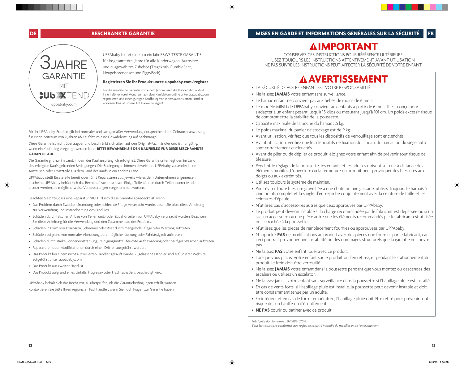# **IMPORTANT**

UPPAbaby bietet eine um ein Jahr ERWEITERTE GARANTIE für insgesamt drei Jahre für alle Kinderwagen, Autositze und ausgewähltes Zubehör (Tragekorb, RumbleSeat, Neugeborenenset und PiggyBack).

# **Registrieren Sie Ihr Produkt unter: uppababy.com/register**

Für die zusätzliche Garantie von einem Jahr müssen die Kunden ihr Produkt innerhalb von drei Monaten nach dem Kaufdatum online unter uppababy.com registrieren und einen gültigen Kaufbeleg von einem autorisierten Händler vorlegen. Das ist unsere Art, Danke zu sagen!

Für Ihr UPPAbaby-Produkt gilt bei normaler und sachgemäßer Verwendung entsprechend der Gebrauchsanweisung für einen Zeitraum von 2 Jahren ab Kaufdatum eine Gewährleistung auf Sachmängel.

Diese Garantie ist nicht übertragbar und beschränkt sich allein auf den Original-Fachhändler und ist nur gültig, wenn ein Kaufbeleg vorgelegt werden kann. **BITTE BEWAHREN SIE DEN KAUFBELEG FÜR DIESE BESCHRÄNKTE GARANTIE AUF.**

Die Garantie gilt nur im Land, in dem der Kauf ursprünglich erfolgt ist. Diese Garantie unterliegt den im Land des erfolgten Kaufs geltenden Bedingungen. Die Bedingungen können abweichen. UPPAbaby versendet keine Austausch-oder Ersatzteile aus dem Land des Kaufs in ein anderes Land.

UPPAbaby stellt Ersatzteile bereit oder führt Reparaturen aus, jeweils wie es dem Unternehmen angemessen erscheint. UPPAbaby behält sich das Recht auf Austausch vor. Einige Teile können durch Teile neuerer Modelle ersetzt werden, da möglicherweise Verbesserungen vorgenommen wurden.

Beachten Sie bitte, dass eine Reparatur NICHT durch diese Garantie abgedeckt ist, wenn:

- Das Problem durch Zweckentfremdung oder schlechte Pflege verursacht wurde. Lesen Sie bitte diese Anleitung zur Verwendung und Instandhaltung des Produkts.
- Schäden durch falschen Anbau von Teilen und/oder Zubehörteilen von UPPAbaby verursacht wurden. Beachten Sie diese Anleitung für die Verwendung und den Zusammenbau des Produkts.
- Schäden in Form von Korrosion, Schimmel oder Rost durch mangelnde Pflege oder Wartung auftreten.
- Schäden aufgrund von normaler Abnutzung durch tägliche Nutzung oder Fahrlässigkeit auftreten.
- Schäden durch starke Sonneneinstrahlung, Reinigungsmittel, feuchte Aufbewahrung oder häufiges Waschen auftreten.
- Reparaturen oder Modifikationen durch einen Dritten ausgeführt werden.
- Das Produkt bei einem nicht autorisierten Händler gekauft wurde. Zugelassene Händler sind auf unserer Website aufgeführt unter uppababy.com.
- Das Produkt aus zweiter Hand ist.
- Das Produkt aufgrund eines Unfalls, Flugreise- oder Frachtschadens beschädigt wird.

UPPAbaby behält sich das Recht vor, zu überprüfen, ob die Garantiebedingungen erfüllt wurden. Kontaktieren Sie bitte Ihren regionalen Fachhändler, wenn Sie noch Fragen zur Garantie haben.

CONSERVEZ CES INSTRUCTIONS POUR RÉFÉRENCE ULTÉRIEURE. LISEZ TOUJOURS LES INSTRUCTIONS ATTENTIVEMENT AVANT UTILISATION. NE PAS SUIVRE LES INSTRUCTIONS PEUT AFFECTER LA SÉCURITÉ DE VOTRE ENFANT.

# **A AVERTISSEMENT**

- LA SÉCURITÉ DE VOTRE ENFANT EST VOTRE RESPONSABILITÉ.
- Ne laissez **JAMAIS** votre enfant sans surveillance.
- Le hamac enfant ne convient pas aux bébés de moins de 6 mois.
- Le modèle MINU de UPPAbaby convient aux enfants à partir de 6 mois. Il est conçu pour s'adapter à un enfant pesant jusqu'à 15 kilos ou mesurant jusqu'à 101 cm. Un poids excessif risque de compromettre la stabilité de la poussette.
- Capacité maximale de la poche du hamac : .5 kg.
- Le poids maximal du panier de stockage est de 9 kg.
- Avant utilisation, vérifiez que tous les dispositifs de verrouillage sont enclenchés.
- Avant utilisation, vérifiez que les dispositifs de fixation du landau, du hamac ou du siège auto sont correctement enclenchés.
- Avant de plier ou de déplier ce produit, éloignez votre enfant afin de prévenir tout risque de blessure.
- Pendant le réglage de la poussette, les enfants et les adultes doivent se tenir à distance des éléments mobiles. L'ouverture ou la fermeture du produit peut provoquer des blessures aux doigts ou aux extrémités.
- Utilisez toujours le système de maintien.
- Pour éviter toute blessure grave liée à une chute ou une glissade, utilisez toujours le harnais à cinq points complet et la sangle d'entrejambe conjointement avec la ceinture de taille et les ceintures d'épaule.
- N'utilisez pas d'accessoires autres que ceux approuvés par UPPAbaby.
- Le produit peut devenir instable si la charge recommandée par le fabricant est dépassée ou si un sac, un accessoire ou une pièce autre que les éléments recommandés par le fabricant est utilisée ou accrochée à la poussette.
- N'utilisez que les pièces de remplacement fournies ou approuvées par UPPAbaby.
- N'apportez **PAS** de modifications au produit avec des pièces non fournies par le fabricant, car ceci pourrait provoquer une instabilité ou des dommages structurels que la garantie ne couvre pas.
- Ne laissez **PAS** votre enfant jouer avec ce produit.
- Lorsque vous placez votre enfant sur le produit ou l'en retirez, et pendant le stationnement du produit, le frein doit être verrouillé.
- Ne laissez **JAMAIS** votre enfant dans la poussette pendant que vous montez ou descendez des escaliers ou utilisez un escalator.
- Ne laissez jamais votre enfant sans surveillance dans la poussette si l'habillage pluie est installé.
- En cas de vents forts, si l'habillage pluie est installé, la poussette peut devenir instable et doit être constamment tenue par un adulte.
- En intérieur et en cas de forte température, l'habillage pluie doit être retiré pour prévenir tout risque de surchauffe ou d'étouffement.
- **NE PAS** courir ou patiner avec ce produit.

**3 IAHRE** 

**GARANTIE** 

MIT

uppababy.com

**SULLXT** 

*Fabriqué selon la norme : EN 1888-1:2018.*

*Tous les tissus sont conformes aux règles de sécurité incendie du mobilier et de l'ameublement.*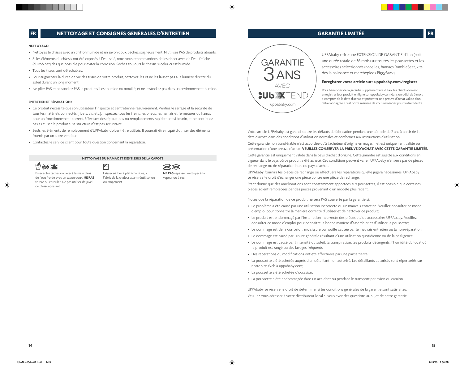### **NETTOYAGE :**

- Nettoyez le châssis avec un chiffon humide et un savon doux. Séchez soigneusement. N'utilisez PAS de produits abrasifs.
- Si les éléments du châssis ont été exposés à l'eau salé, nous vous recommandons de les rincer avec de l'eau fraîche (du robinet) dès que possible pour éviter la corrosion. Séchez toujours le châssis si celui-ci est humide.
- Tous les tissus sont détachables.
- Pour augmenter la durée de vie des tissus de votre produit, nettoyez-les et ne les laissez pas à la lumière directe du soleil durant un long moment.
- Ne pliez PAS et ne stockez PAS le produit s'il est humide ou mouillé, et ne le stockez pas dans un environnement humide.

#### **ENTRETIEN ET RÉPARATION :**

- Ce produit nécessite que son utilisateur l'inspecte et l'entretienne régulièrement. Vérifiez le serrage et la sécurité de tous les matériels connectés (rivets, vis, etc.). Inspectez tous les freins, les pneus, les harnais et fermetures du hamac pour un fonctionnement correct. Effectuez des réparations ou remplacements rapidement si besoin, et ne continuez pas à utiliser le produit si sa structure n'est pas sécuritaire.
- Seuls les éléments de remplacement d'UPPAbaby doivent être utilisés. Il pourrait être risqué d'utiliser des éléments fournis par un autre vendeur.
- Contactez le service client pour toute question concernant la réparation.

# **NETTOYAGE DU HAMAC ET DES TISSUS DE LA CAPOTE**

É



Enlever les taches ou laver à la main dans de l'eau froide avec un savon doux. **NE PAS** tordre ou enrouler. Ne pas utiliser de javel ou d'assouplissant.

Laisser sécher à plat à l'ombre, à l'abris de la chaleur avant réutilisation ou rangement.

 $\rtimes\!\!\!\!\times$ **NE PAS** repasser, nettoyer à la vapeur ou à sec.



**GARANTIE LIMITÉE FR**

UPPAbaby offre une EXTENSION DE GARANTIE d'1 an (soit une durée totale de 36 mois) sur toutes les poussettes et les accessoires sélectionnés (nacelles, hamacs RumbleSeat, kits dès la naissance et marchepieds PiggyBack).

### **Enregistrer votre article sur : uppababy.com/register**

Pour bénéficier de la garantie supplémentaire d'1 an, les clients doivent enregistrer leur produit en ligne sur uppababy.com dans un délai de 3 mois à compter de la date d'achat et présenter une preuve d'achat valide d'un détaillant agréé. C'est notre manière de vous remercier pour votre fidélité.

Votre article UPPAbaby est garanti contre les défauts de fabrication pendant une période de 2 ans à partir de la date d'achat, dans des conditions d'utilisation normales et conformes aux instructions d'utilisation.

Cette garantie non transférable n'est accordée qu'à l'acheteur d'origine en magasin et est uniquement valide sur présentation d'une preuve d'achat. **VEUILLEZ CONSERVER LA PREUVE D'ACHAT AVEC CETTE GARANTIE LIMITÉE.** 

Cette garantie est uniquement valide dans le pays d'achat d'origine. Cette garantie est sujette aux conditions en vigueur dans le pays où ce produit a été acheté. Ces conditions peuvent varier. UPPAbaby n'enverra pas de pièces de rechange ou de réparation hors du pays d'achat.

UPPAbaby fournira les pièces de rechange ou effectuera les réparations qu'elle jugera nécessaires. UPPAbaby se réserve le droit d'échanger une pièce contre une pièce de rechange.

Étant donné que des améliorations sont constamment apportées aux poussettes, il est possible que certaines pièces soient remplacées par des pièces provenant d'un modèle plus récent.

Notez que la réparation de ce produit ne sera PAS couverte par la garantie si:

- Le problème a été causé par une utilisation incorrecte ou un mauvais entretien. Veuillez consulter ce mode d'emploi pour connaître la manière correcte d'utiliser et de nettoyer ce produit;
- Le produit est endommagé par l'installation incorrecte des pièces et/ou accessoires UPPAbaby. Veuillez consulter ce mode d'emploi pour connaître la bonne manière d'assembler et d'utiliser la poussette;
- Le dommage est de la corrosion, moisissure ou rouille causée par le mauvais entretien ou la non-réparation;
- Le dommage est causé par l'usure générale résultant d'une utilisation quotidienne ou de la négligence;
- Le dommage est causé par l'intensité du soleil, la transpiration, les produits détergents, l'humidité du local où le produit est rangé ou des lavages fréquents;
- Des réparations ou modifications ont été effectuées par une partie tierce;
- La poussette a été achetée auprès d'un détaillant non autorisé. Les détaillants autorisés sont répertoriés sur notre site Web à uppababy.com;
- La poussette a été achetée d'occasion;
- La poussette a été endommagée dans un accident ou pendant le transport par avion ou camion.

UPPAbaby se réserve le droit de déterminer si les conditions générales de la garantie sont satisfaites. Veuillez vous adresser à votre distributeur local si vous avez des questions au sujet de cette garantie.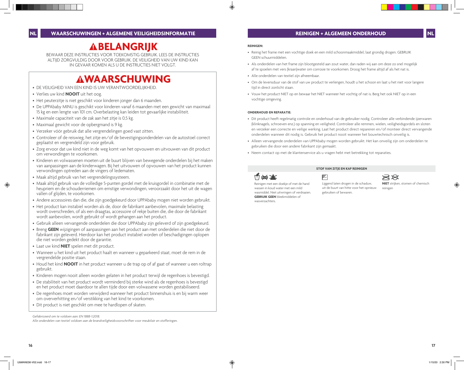# **ABELANGRIJK**

BEWAAR DEZE INSTRUCTIES VOOR TOEKOMSTIG GEBRUIK. LEES DE INSTRUCTIES ALTIJD ZORGVULDIG DOOR VOOR GEBRUIK. DE VEILIGHEID VAN UW KIND KAN IN GEVAAR KOMEN ALS U DE INSTRUCTIES NIET VOLGT.

# **WAARSCHUWING**

- DE VEILIGHEID VAN EEN KIND IS UW VERANTWOORDELIJKHEID.
- Verlies uw kind **NOOIT** uit het oog.
- Het peuterzitje is niet geschikt voor kinderen jonger dan 6 maanden.
- De UPPAbaby MINU is geschikt voor kinderen vanaf 6 maanden met een gewicht van maximaal 15 kg en een lengte van 101 cm. Overbelasting kan leiden tot gevaarlijke instabiliteit.
- Maximale capaciteit van de zak aan het zitje is 0,5 kg.
- Maximaal gewicht voor de opbergmand is 9 kg.
- Verzeker vóór gebruik dat alle vergrendelingen goed vast zitten.
- Controleer of de reiswieg, het zitje en/of de bevestigingsonderdelen van de autostoel correct geplaatst en vergrendeld zijn voor gebruik.
- Zorg ervoor dat uw kind niet in de weg komt van het opvouwen en uitvouwen van dit product om verwondingen te voorkomen.
- Kinderen en volwassenen moeten uit de buurt blijven van bewegende onderdelen bij het maken van aanpassingen aan de kinderwagen. Bij het uitvouwen of opvouwen van het product kunnen verwondingen optreden aan de vingers of ledematen.
- Maak altijd gebruik van het vergrendelingssysteem.
- Maak altijd gebruik van de volledige 5-punten gordel met de kruisgordel in combinatie met de heupriem en de schouderriemen om ernstige verwondingen, veroorzaakt door het uit de wagen vallen of glijden, te voorkomen.
- Andere accessoires dan die, die zijn goedgekeurd door UPPAbaby mogen niet worden gebruikt.
- Het product kan instabiel worden als de, door de fabrikant aanbevolen, maximale belasting wordt overschreden, of als een draagtas, accessoire of rekje buiten die, die door de fabrikant wordt aanbevolen, wordt gebruikt of wordt gehangen aan het product.
- Gebruik alleen vervangende onderdelen die door UPPAbaby zijn geleverd of zijn goedgekeurd.
- Breng **GEEN** wijzigingen of aanpassingen aan het product aan met onderdelen die niet door de fabrikant zijn geleverd. Hierdoor kan het product instabiel worden of beschadigingen oplopen die niet worden gedekt door de garantie.
- Laat uw kind **NIET** spelen met dit product.
- Wanneer u het kind uit het product haalt en wanneer u geparkeerd staat, moet de rem in de vergrendelde positie staan.
- Houd het kind **NOOIT** in het product wanneer u de trap op of af gaat of wanneer u een roltrap gebruikt.
- Kinderen mogen nooit alleen worden gelaten in het product terwijl de regenhoes is bevestigd.
- De stabiliteit van het product wordt verminderd bij sterke wind als de regenhoes is bevestigd en het product moet daardoor te allen tijde door een volwassene worden gestabiliseerd.
- De regenhoes moet worden verwijderd wanneer het product binnenshuis is en bij warm weer om oververhitting en/of verstikking van het kind te voorkomen.
- Dit product is niet geschikt om mee te hardlopen of skaten.

*Gefabriceerd om te voldoen aan: EN 1888-1:2018.*

*Alle onderdelen van textiel voldoen aan de brandveiligheidsvoorschriften voor meubilair en stofferingen.*

### **REINIGEN:**

- Reinig het frame met een vochtige doek en een mild schoonmaakmiddel; laat grondig drogen. GEBRUIK GEEN schuurmiddelen.
- Als onderdelen van het frame zijn blootgesteld aan zout water, dan raden wij aan om deze zo snel mogelijk af te spoelen met vers (kraan)water om corrosie te voorkomen. Droog het frame altijd af als het nat is.
- Alle onderdelen van textiel zijn afneembaar.
- Om de levensduur van de stof van uw product te verlengen, houdt u het schoon en laat u het niet voor langere tijd in direct zonlicht staan.
- Vouw het product NIET op en bewaar het NIET wanneer het vochtig of nat is. Berg het ook NIET op in een vochtige omgeving.

### **ONDERHOUD EN REPARATIE:**

- Dit product heeft regelmatig controle en onderhoud van de gebruiker nodig. Controleer alle verbindende ijzerwaren (klinknagels, schroeven enz.) op spanning en veiligheid. Controleer alle remmen, wielen, veiligheidsgordels en sloten en verzeker een correcte en veilige werking. Laat het product direct repareren en/of monteer direct vervangende onderdelen wanneer dit nodig is. Gebruik het product nooit wanneer het bouwtechnisch onveilig is.
- Alleen vervangende onderdelen van UPPAbaby mogen worden gebruikt. Het kan onveilig zijn om onderdelen te gebruiken die door een andere fabrikant zijn gemaakt.
- Neem contact op met de klantenservice als u vragen hebt met betrekking tot reparaties.



gebruiken of bewaren.

**STOF VAN ZITJE EN KAP REINIGEN**

uit de buurt van hitte voor het opnieuw

召 Liggend laten drogen in de schaduw,

 $\rtimes\!\!\!\!\times$ **NIET** strijken, stomen of chemisch reinigen

Reinigen met een doekje of met de hand wassen in koud water met een mild wasmiddel. Niet uitwringen of verdraaien. **GEBRUIK GEEN** bleekmiddelen of wasverzachters.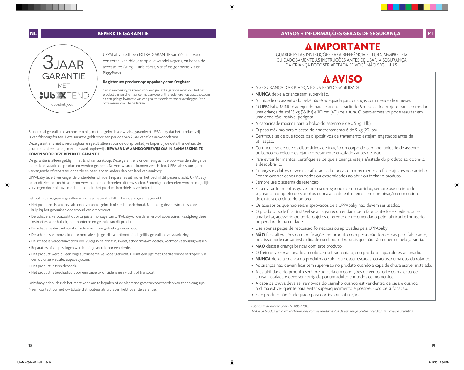**IMPORTANTE**

# **NL BEPERKTE GARANTIE**



UPPAbaby biedt een EXTRA GARANTIE van één jaar voor een totaal van drie jaar op alle wandelwagens, en bepaalde accessoires (wieg, RumbleSeat, Vanaf de geboorte-kit en PiggyBack).

# **Register uw product op: uppababy.com/register**

Om in aanmerking te komen voor één jaar extra garantie moet de klant het product binnen drie maanden na aankoop online registreren op uppababy.com en een geldige kwitantie van een geautoriseerde verkoper overleggen. Dit is onze manier om u te bedanken!

Bij normaal gebruik in overeenstemming met de gebruiksaanwijzing garandeert UPPAbaby dat het product vrij is van fabricagefouten. Deze garantie geldt voor een periode van 2 jaar vanaf de aankoopdatum.

Deze garantie is niet overdraagbaar en geldt alleen voor de oorspronkelijke koper bij de detailhandelaar; de garantie is alleen geldig met een aankoopbewijs. **BEWAAR UW AANKOOPBEWIJS OM IN AANMERKING TE KOMEN VOOR DEZE BEPERKTE GARANTIE.**

De garantie is alleen geldig in het land van aankoop. Deze garantie is onderhevig aan de voorwaarden die gelden in het land waarin de producten werden gekocht. De voorwaarden kunnen verschillen. UPPAbaby stuurt geen vervangende of reparatie-onderdelen naar landen anders dan het land van aankoop.

UPPAbaby levert vervangende onderdelen of voert reparaties uit indien het bedrijf dit passend acht. UPPAbaby behoudt zich het recht voor om vervangende onderdelen uit te wisselen. Sommige onderdelen worden mogelijk vervangen door nieuwe modellen, omdat het product inmiddels is verbeterd.

Let op! In de volgende gevallen wordt een reparatie NIET door deze garantie gedekt:

- Het probleem is veroorzaakt door verkeerd gebruik of slecht onderhoud. Raadpleeg deze instructies voor hulp bij het gebruik en onderhoud van dit product.
- De schade is veroorzaakt door onjuiste montage van UPPAbaby-onderdelen en/of accessoires. Raadpleeg deze instructies voor hulp bij het monteren en gebruik van dit product.
- De schade bestaat uit roest of schimmel door gebrekkig onderhoud.
- De schade is veroorzaakt door normale slijtage, die voortkomt uit dagelijks gebruik of verwaarlozing.
- De schade is veroorzaakt door veelvuldig in de zon zijn, zweet, schoonmaakmiddelen, vocht of veelvuldig wassen.
- Reparaties of aanpassingen werden uitgevoerd door een derde.
- Het product werd bij een ongeautoriseerde verkoper gekocht. U kunt een lijst met goedgekeurde verkopers vin den op onze website: uppababy.com.
- Het product is tweedehands.
- Het product is beschadigd door een ongeluk of tijdens een vlucht of transport.

UPPAbaby behoudt zich het recht voor om te bepalen of de algemene garantievoorwaarden van toepassing zijn. Neem contact op met uw lokale distributeur als u vragen hebt over de garantie.

GUARDE ESTAS INSTRUÇÕES PARA REFERÊNCIA FUTURA. SEMPRE LEIA CUIDADOSAMENTE AS INSTRUÇÕES ANTES DE USAR. A SEGURANÇA DA CRIANÇA PODE SER AFETADA SE VOCÊ NÃO SEGUI-LAS.

# **AVISO**

- A SEGURANÇA DA CRIANÇA É SUA RESPONSABILIDADE.
- **NUNCA** deixe a criança sem supervisão.
- A unidade do assento do bebê não é adequada para crianças com menos de 6 meses.
- O UPPAbaby MINU é adequado para crianças a partir de 6 meses e foi projeto para acomodar uma criança de até 15 kg (33 lbs) e 101 cm (40") de altura. O peso excessivo pode resultar em uma condição instável perigosa.
- A capacidade máxima para o bolso do assento é de 0,5 kg (1 lb).
- O peso máximo para o cesto de armazenamento é de 9 kg (20 lbs).
- Certifique-se de que todos os dispositivos de travamento estejam engatados antes da utilização.
- Certifique-se de que os dispositivos de fixação do corpo do carrinho, unidade de assento ou banco do veículo estejam corretamente engatados antes de usar.
- Para evitar ferimentos, certifique-se de que a criança esteja afastada do produto ao dobrá-lo e desdobrá-lo.
- Crianças e adultos devem ser afastadas das peças em movimento ao fazer ajustes no carrinho. Podem ocorrer danos nos dedos ou extremidades ao abrir ou fechar o produto.
- Sempre use o sistema de retenção.
- Para evitar ferimentos graves por escorregar ou cair do carrinho, sempre use o cinto de segurança completo de 5 pontos com a alça de entrepernas em combinação com o cinto de cintura e o cinto de ombro.
- Os acessórios que não sejam aprovados pela UPPAbaby não devem ser usados.
- O produto pode ficar instável se a carga recomendada pelo fabricante for excedida, ou se uma bolsa, acessório ou porta-objetos diferente do recomendado pelo fabricante for usado ou pendurado na unidade.
- Use apenas peças de reposição fornecidas ou aprovadas pela UPPAbaby.
- **NÃO** faça alterações ou modificações no produto com peças não fornecidas pelo fabricante, pois isso pode causar instabilidade ou danos estruturais que não são cobertos pela garantia.
- **NÃO** deixe a criança brincar com este produto.
- O freio deve ser acionado ao colocar ou tirar a criança do produto e quando estacionado.
- **NUNCA** deixe a criança no produto ao subir ou descer escadas, ou ao usar uma escada rolante.
- As crianças não devem ficar sem supervisão no produto quando a capa de chuva estiver instalada.
- A estabilidade do produto será prejudicada em condições de vento forte com a capa de chuva instalada e deve ser corrigida por um adulto em todos os momentos.
- A capa de chuva deve ser removida do carrinho quando estiver dentro de casa e quando o clima estiver quente para evitar superaquecimento e possível risco de sufocação.
- Este produto não é adequado para corrida ou patinação.

*Fabricado de acordo com: EN 1888-1:2018.*

*Todos os tecidos estão em conformidade com os regulamentos de segurança contra incêndios de móveis e utensílios.*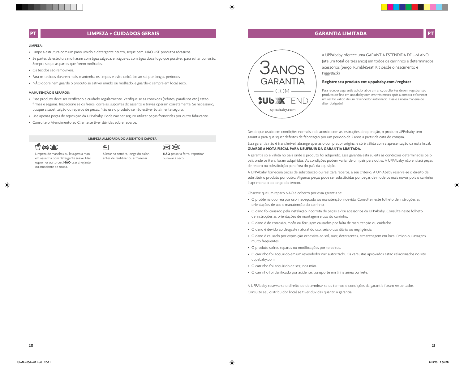# **LIMPEZA + CUIDADOS GERAIS**

# **GARANTIA LIMITADA**

### **LIMPEZA:**

- Limpe a estrutura com um pano úmido e detergente neutro, seque bem. NÃO USE produtos abrasivos.
- Se partes da estrutura molharam com água salgada, enxágue-as com água doce logo que possível, para evitar corrosão. Sempre seque as partes que forem molhadas.
- Os tecidos são removíveis.
- Para os tecidos durarem mais, mantenha-os limpos e evite deixá-los ao sol por longos períodos.

召

• NÃO dobre nem guarde o produto se estiver úmido ou molhado, e guarde-o sempre em local seco.

# **MANUTENÇÃO E REPAROS:**

• Esse produto deve ser verificado e cuidado regularmente. Verifique se as conexões (rebites, parafusos etc.) estão firmes e seguras. Inspecione se os freios, correias, suportes do assento e travas operam corretamente. Se necessário, busque a substituição ou reparos de peças. Não use o produto se não estiver totalmente seguro.

**LIMPEZA ALMOFADA DO ASSENTO E CAPOTA**

- Use apenas peças de reposição da UPPAbaby. Pode não ser seguro utilizar peças fornecidas por outro fabricante.
- Consulte o Atendimento ao Cliente se tiver dúvidas sobre reparos.

# **1:1 022 X**

Limpeza de manchas ou lavagem à mão em água fria com detergente suave. Não espremer ou torcer. **NÃO** usar alvejante ou amaciante de roupa.

SSecar na sombra, longe do calor, antes de reutilizar ou armazenar.

**AR NÃO** passar à ferro, vaporizar ou lavar à seco.



A UPPAbaby oferece uma GARANTIA ESTENDIDA DE UM ANO (até um total de três anos) em todos os carrinhos e determinados acessórios (Berço, RumbleSeat, Kit desde o nascimento e PiggyBack).

## **Registre seu produto em: uppababy.com/register**

Para receber a garantia adicional de um ano, os clientes devem registrar seu produto on-line em uppababy.com em três meses após a compra e fornecer um recibo válido de um revendedor autorizado. Essa é a nossa maneira de dizer obrigado!

Desde que usado em condições normais e de acordo com as instruções de operação, o produto UPPAbaby tem garantia para quaisquer defeitos de fabricação por um período de 2 anos a partir da data de compra.

Essa garantia não é transferível, abrange apenas o comprador original e só é válida com a apresentação da nota fiscal. **GUARDE A NOTA FISCAL PARA USUFRUIR DA GARANTIA LIMITADA.**

A garantia só é válida no país onde o produto foi adquirido. Essa garantia está sujeita às condições determinadas pelo país onde os itens foram adquiridos. As condições podem variar de um país para outro. A UPPAbaby não enviará peças de reparo ou substituição para fora do país da aquisição.

A UPPAbaby fornecerá peças de substituição ou realizará reparos, a seu critério. A UPPAbaby reserva-se o direito de substituir o produto por outro. Algumas peças pode ser substituídas por peças de modelos mais novos pois o carrinho é aprimorado ao longo do tempo.

Observe que um reparo NÃO é coberto por essa garantia se:

- O problema ocorreu por uso inadequado ou manutenção indevida. Consulte neste folheto de instruções as orientações de uso e manutenção do carrinho.
- O dano foi causado pela instalação incorreta de peças e/ou acessórios da UPPAbaby. Consulte neste folheto de instruções as orientações de montagem e uso do carrinho.
- O dano é de corrosão, mofo ou ferrugem causados por falta de manutenção ou cuidados.
- O dano é devido ao desgaste natural do uso, seja o uso diário ou negligência.
- O dano é causado por exposição excessiva ao sol, suor, detergentes, armazenagem em local úmido ou lavagens muito frequentes.
- O produto sofreu reparos ou modificações por terceiros.
- O carrinho foi adquirido em um revendedor não autorizado. Os varejistas aprovados estão relacionados no site uppababy.com.
- O carrinho foi adquirido de segunda mão.
- O carrinho foi danificado por acidente, transporte em linha aérea ou frete.

A UPPAbaby reserva-se o direito de determinar se os termos e condições da garantia foram respeitados. Consulte seu distribuidor local se tiver dúvidas quanto à garantia.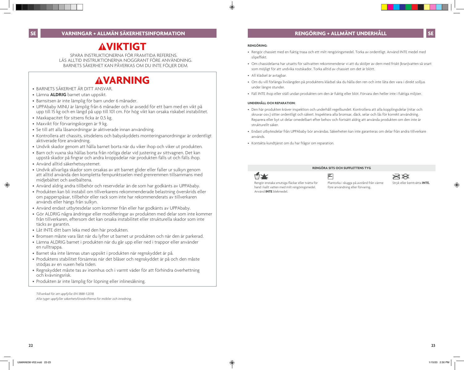# **RENGÖRING + ALLMÄNT UNDERHÅLL**

# **AVIKTIGT**

SPARA INSTRUKTIONERNA FÖR FRAMTIDA REFERENS. LÄS ALLTID INSTRUKTIONERNA NOGGRANT FÖRE ANVÄNDNING. BARNETS SÄKERHET KAN PÅVERKAS OM DU INTE FÖLJER DEM.

# **VARNING** • BARNETS SÄKERHET ÄR DITT ANSVAR.

- 
- Lämna **ALDRIG** barnet utan uppsikt.
- Barnsitsen är inte lämplig för barn under 6 månader.
- UPPAbaby MINU är lämplig från 6 månader och är avsedd för ett barn med en vikt på upp till 15 kg och en längd på upp till 101 cm. För hög vikt kan orsaka riskabel instabilitet.
- Maxkapacitet för sitsens ficka är 0,5 kg.
- Maxvikt för förvaringskorgen är 9 kg.
- Se till att alla låsanordningar är aktiverade innan användning.
- Kontrollera att chassits, sitsdelens och babyskyddets monteringsanordningar är ordentligt aktiverade före användning.
- Undvik skador genom att hålla barnet borta när du viker ihop och viker ut produkten.
- Barn och vuxna ska hållas borta från rörliga delar vid justering av sittvagnen. Det kan uppstå skador på fingrar och andra kroppsdelar när produkten fälls ut och fälls ihop.
- Använd alltid säkerhetssystemet.
- Undvik allvarliga skador som orsakas av att barnet glider eller faller ur sulkyn genom att alltid använda den kompletta fempunktsselen med grenremmen tillsammans med midjebältet och axelbältena.
- Använd aldrig andra tillbehör och reservdelar än de som har godkänts av UPPAbaby.
- Produkten kan bli instabil om tillverkarens rekommenderade belastning överskrids eller om papperspåsar, tillbehör eller rack som inte har rekommenderats av tillverkaren används eller hängs från sulkyn.
- Använd endast utbytesdelar som kommer från eller har godkänts av UPPAbaby.
- Gör ALDRIG några ändringar eller modifieringar av produkten med delar som inte kommer från tillverkaren, eftersom det kan orsaka instabilitet eller strukturella skador som inte täcks av garantin.
- Låt INTE ditt barn leka med den här produkten.
- Bromsen måste vara låst när du lyfter ut barnet ur produkten och när den är parkerad.
- Lämna ALDRIG barnet i produkten när du går upp eller ned i trappor eller använder en rulltrappa.
- Barnet ska inte lämnas utan uppsikt i produkten när regnskyddet är på.
- Produktens stabilitet försämras när det blåser och regnskyddet är på och den måste stödjas av en vuxen hela tiden.
- Regnskyddet måste tas av inomhus och i varmt väder för att förhindra överhettning och kvävningsrisk.
- Produkten är inte lämplig för löpning eller inlinesåkning.

*Tillverkad för att uppfylla: EN 1888-1:2018. Alla tyger uppfyller säkerhetsföreskrifterna för möbler och inredning*.

### **RENGÖRING:**

- Rengör chassiet med en fuktig trasa och ett milt rengöringsmedel. Torka av ordentligt. Använd INTE medel med slipeffekt.
- Om chassidelarna har utsatts för saltvatten rekommenderar vi att du sköljer av dem med friskt (kran)vatten så snart som möjligt för att undvika rostskador. Torka alltid av chassiet om det är blött.
- All klädsel är avtagbar.
- Om du vill förlänga livslängden på produktens klädsel ska du hålla den ren och inte låta den vara i direkt solljus under längre stunder.
- Fäll INTE ihop eller ställ undan produkten om den är fuktig eller blöt. Förvara den heller inte i fuktiga miljöer.

### **UNDERHÅLL OCH REPARATION:**

- Den här produkten kräver inspektion och underhåll regelbundet. Kontrollera att alla kopplingsdelar (nitar och skruvar osv.) sitter ordentligt och säkert. Inspektera alla bromsar, däck, selar och lås för korrekt användning. Reparera eller byt ut delar omedelbart efter behov och fortsätt aldrig att använda produkten om den inte är strukturellt säker.
- Endast utbytesdelar från UPPAbaby bör användas. Säkerheten kan inte garanteras om delar från andra tillverkare används.
- Kontakta kundtjänst om du har frågor om reparation.

# **RENGÖRA SITS OCH SUFFLETTENS TYG**



ŕ

 $\rtimes\!\!\!\!\times$ 

Rengör enstaka smutsiga fläckar eller tvätta för hand i kallt vatten med milt rengöringsmedel. Använd **INTE** blekmedel.

Plantorka i skugga på avstånd från värme före användning eller förvaring..

Stryk eller kemtvätta **INTE.**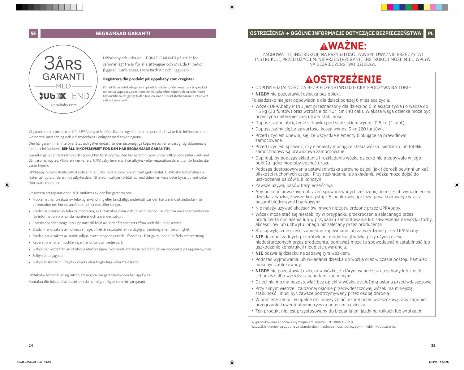# **SE BEGRÄNSAD GARANTI**



UPPAbaby erbjuder en UTÖKAD GARANTI på ett år för sammanlagt tre år för alla sittvagnar och utvalda tillbehör (liggdel, RumbleSeat, From Birth Kit och PiggyBack).

# **Registrera din produkt på: uppababy.com/register**

För att få den utökade garantin på ett år måste kunden registrera sin produkt online på uppababy.com inom tre månader efter köpet och kunden måste tillhandahålla ett giltigt kvitto från en auktoriserad återförsäljare. Det är vårt sätt att säga tack!

Vi garanterar att produkten från UPPAbaby är fri från tillverkningsfel under en period på två år från inköpsdatumet vid normal användning och vid användning i enlighet med anvisningarna.

Den här garantin får inte överlåtas och gäller endast för den ursprungliga köparen och är endast giltig tillsammans med ett inköpsbevis. **BEHÅLL INKÖPSBEVISET FÖR DEN HÄR BEGRÄNSADE GARANTIN.** 

Garantin gäller endast i landet där produkten först köptes. Den här garantin lyder under villkor som gäller i det land där varorna köptes. Villkoren kan variera. UPPAbaby levererar inte utbytes- eller reparationsdelar utanför landet där varan köptes.

UPPAbaby tillhandahåller utbytesdelar eller utför reparationer enligt företagets beslut. UPPAbaby förbehåller sig rätten att byta ut delar mot utbytesdelar. Eftersom sulkyer förbättras med tiden kan vissa delar bytas ut mot delar från nyare modeller.

Observera att reparationer INTE omfattas av den här garantin om:

- Problemet har orsakats av felaktig användning eller bristfälligt underhåll. Läs den här användarhandboken för information om hur du använder och underhåller sulkyn.
- Skadan är orsakad av felaktig montering av UPPAbabys delar och/eller tillbehör. Läs den här användarhandboken för information om hur du monterar och använder sulkyn.
- Rostskador eller mögel har uppstått till följd av underlåtenhet att utföra underhåll eller service.
- Skadan har orsakats av normalt slitage, vilket är resultatet av vardaglig användning eller försumlighet.
- Skadan har orsakats av starkt solljus, svett, rengöringsmedel, förvaring i fuktiga miljöer eller frekvent tvättning.
- Reparationer eller modifieringar har utförts av tredje part.
- Sulkyn har köpts från en obehörig återförsäljare. Godkända återförsäljare finns på vår webbplats på uppababy.com.
- Sulkyn är begagnad.
- Sulkyn är skadad till följd av olycka eller flygbolags- eller fraktskada.

UPPAbaby förbehåller sig rätten att avgöra om garantivillkoren har uppfyllts. Kontakta din lokala distributör om du har några frågor som rör vår garanti.

ZACHOWAJ TĘ INSTRUKCJĘ NA PRZYSZŁOŚĆ. ZAWSZE UWAŻNIE PRZECZYTAJ INSTRUKCJĘ PRZED UŻYCIEM. NIEPRZESTRZEGANIE INSTRUKCJI MOŻE MIEĆ WPŁYW NA BEZPIECZEŃSTWO DZIECKA.

**WAŻNE:**

# **OSTRZEŻENIE**

- ODPOWIEDZIALNOŚĆ ZA BEZPIECZEŃSTWO DZIECKA SPOCZYWA NA TOBIE.
- **NIGDY** nie pozostawiaj dziecka bez opieki.
- To siedzisko nie jest odpowiednie dla dzieci poniżej 6 miesiąca życia.
- Wózek UPPAbaby MINU jest przeznaczony dla dzieci od 6 miesiąca życia i o wadze do 15 kg (33 funtów) oraz wzroście do 101 cm (40 cali). Większa waga dziecka może być przyczyną niebezpiecznej utraty stabilności.
- Dopuszczalne obciążenie schowka pod siedziskiem wynosi 0.5 kg (1 funt).
- Dopuszczalny ciężar zawartości kosza wynosi 9 kg (20 funtów).
- Przed użyciem upewnij się, że wszystkie elementy blokujące są prawidłowo zamocowane.
- Przed użyciem sprawdź, czy elementy mocujące stelaż wózka, siedzisko lub fotelik samochodowy są prawidłowo zamontowane.
- Dopilnuj, by podczas składania i rozkładania wózka dziecko nie przebywało w jego pobliżu, gdyż mogłoby doznać urazu.
- Podczas dostosowywania ustawień wózka zarówno dzieci, jak i dorośli powinni unikać bliskości ruchomych części. Przy rozkładaniu lub składaniu wózka może dojść do uszkodzenia palców lub kończyn.
- Zawsze używaj pasów bezpieczeństwa.
- Aby uniknąć poważnych obrażeń spowodowanych ześlizgnięciem się lub wypadnięciem dziecka z wózka, zawsze korzystaj z 5-punktowej uprzęży: pasa krokowego wraz z pasami biodrowymi i barkowymi.
- Nie należy używać akcesoriów innych niż zatwierdzone przez UPPAbaby.
- Wózek może stać się niestabilny w przypadku przekroczenia zalecanego przez producenta obciążenia lub w przypadku zamontowania lub zawieszenia na wózku torby, akcesoriów lub uchwytu innego niż zalecany przez producenta.
- Stosuj wyłącznie części zamienne zapewniane lub zatwierdzone przez UPPAbaby.
- **NIE** dokonuj żadnych przeróbek ani modyfikacji wózka przy użyciu części niedostarczonych przez producenta, ponieważ może to spowodować niestabilność lub uszkodzenie konstrukcji nieobjęte gwarancją.
- **NIE** pozwalaj dziecku na zabawę tym wózkiem.
- Podczas wyjmowania lub wkładania dziecka do wózka oraz w czasie postoju hamulec musi być zablokowany.
- **NIGDY** nie pozostawiaj dziecka w wózku, z którym wchodzisz na schody lub z nich schodzisz albo wjeżdżasz schodami ruchomymi.
- Dzieci nie można pozostawiać bez opieki w wózku z założoną osłoną przeciwdeszczową.
- Przy silnym wietrze i założonej osłonie przeciwdeszczowej wózek ma mniejszą stabilność i musi być zawsze podtrzymywany przez osobę dorosłą.
- W pomieszczeniu i w upalne dni należy zdjąć osłonę przeciwdeszczową, aby zapobiec przegrzaniu i ewentualnemu ryzyku uduszenia dziecka.
- Ten produkt nie jest przystosowany do biegania ani jazdy na rolkach lub wrotkach.

Wyprodukowano zgodnie z wymaganiami normy: EN 1888-1:2018. Wszystkie tkaniny są zgodne ze standardami trudnopalności dotyczącymi mebli i wyposażenia. **PL**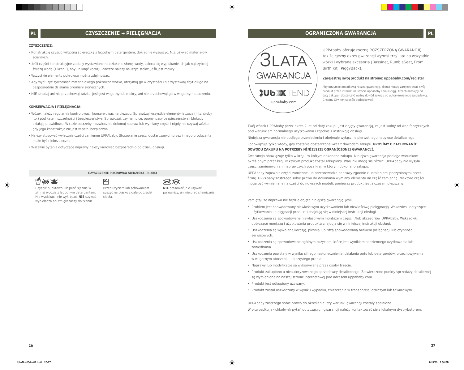# **PL CZYSZCZENIE + PIELĘGNACJA**

### **CZYSZCZENIE:**

- Konstrukcję czyścić wilgotną ściereczką z łagodnym detergentem; dokładnie wysuszyć. NIE używać materiałów ściernych.
- Jeśli części konstrukcyjne zostały wystawione na działanie słonej wody, zaleca się wypłukanie ich jak najszybciej świeżą wodą (z kranu), aby uniknąć korozji. Zawsze należy osuszyć stelaż, jeśli jest mokry.
- Wszystkie elementy pokrowca można zdejmować.
- Aby wydłużyć żywotność materiałowego pokrowca wózka, utrzymuj go w czystości i nie wystawiaj zbyt długo na bezpośrednie działanie promieni słonecznych.
- NIE składaj ani nie przechowuj wózka, jeśli jest wilgotny lub mokry, ani nie przechowuj go w wilgotnym otoczeniu.

### **KONSERWACJA I PIELĘGNACJA:**

- Wózek należy regularnie kontrolować i konserwować na bieżąco. Sprawdzaj wszystkie elementy łączące (nity, śruby itp.) pod kątem szczelności i bezpieczeństwa. Sprawdzaj, czy hamulce, opony, pasy bezpieczeństwa i blokady działają prawidłowo. W razie potrzeby niezwłocznie dokonuj napraw lub wymiany części i nigdy nie używaj wózka, gdy jego konstrukcja nie jest w pełni bezpieczna.
- Należy stosować wyłącznie części zamienne UPPAbaby. Stosowanie części dostarczonych przez innego producenta może być niebezpieczne.
- Wszelkie pytania dotyczące naprawy należy kierować bezpośrednio do działu obsługi.

 $\boxtimes$ 

#### **CZYSZCZENIE POKROWCA SIEDZISKA I BUDKI**



Czyścić punktowo lub prać ręcznie w zimnej wodzie z łagodnym detergentem. Nie wyciskać i nie wykręcać. **NIE** używać wybielacza ani zmiękczaczy do tkanin. ciepła.

Przed użyciem lub schowaniem suszyć na płasko z dala od źródeł



parownicy, ani nie prać chemicznie.



**OGRANICZONA GWARANCJA PL**

UPPAbaby oferuje roczną ROZSZERZONĄ GWARANCJĘ, tak że łączny okres gwarancji wynosi trzy lata na wszystkie wózki i wybrane akcesoria (Bassinet, RumbleSeat, From Birth Kit i PiggyBack).

### **Zarejestruj swój produkt na stronie: uppababy.com/register**

Aby otrzymać dodatkową roczną gwarancję, klienci muszą zarejestrować swój produkt przez Internet na stronie uppababy.com w ciągu trzech miesięcy od daty zakupu i dostarczyć ważny dowód zakupu od autoryzowanego sprzedawcy. Chcemy Ci w ten sposób podziękować!

Twój wózek UPPAbaby przez okres 2 lat od daty zakupu jest objęty gwarancją, że jest wolny od wad fabrycznych pod warunkiem normalnego użytkowania i zgodnie z instrukcją obsługi.

Niniejsza gwarancja nie podlega przeniesieniu i obejmuje wyłącznie pierwotnego nabywcę detalicznego

### i obowiązuje tylko wtedy, gdy zostanie dostarczona wraz z dowodem zakupu. **PROSİMY O ZACHOWANİE DOWODU ZAKUPU NA POTRZEBY NİNİEJSZEJ OGRANİCZONEJ GWARANCJİ.**

Gwarancja obowiązuje tylko w kraju, w którym dokonano zakupu. Niniejsza gwarancja podlega warunkom określonym przez kraj, w którym produkt został zakupiony. Warunki mogą się różnić. UPPAbaby nie wysyła części zamiennych ani naprawczych poza kraj, w którym dokonano zakupu.

UPPAbaby zapewnia części zamienne lub przeprowadza naprawy zgodnie z ustaleniami poczynionymi przez firmę. UPPAbaby zastrzega sobie prawo do dokonania wymiany elementu na część zamienną. Niektóre części mogą być wymieniane na części do nowszych modeli, ponieważ produkt jest z czasem ulepszany.

Pamiętaj, że naprawa nie będzie objęta niniejszą gwarancją, jeśli:

- Problem jest spowodowany niewłaściwym użytkowaniem lub niewłaściwą pielęgnacją. Wskazówki dotyczące użytkowania i pielęgnacji produktu znajdują się w niniejszej instrukcji obsługi.
- Uszkodzenia są spowodowane niewłaściwym montażem części i/lub akcesoriów UPPAbaby. Wskazówki dotyczące montażu i użytkowania produktu znajdują się w niniejszej instrukcji obsługi.
- Uszkodzenia są wywołane korozją, pleśnią lub rdzą spowodowaną brakiem pielęgnacji lub czynności serwisowych.
- Uszkodzenia są spowodowane ogólnym zużyciem, które jest wynikiem codziennego użytkowania lub zaniedbania.
- Uszkodzenia powstały w wyniku silnego nasłonecznienia, działania potu lub detergentów, przechowywania w wilgotnym otoczeniu lub częstego prania.
- Naprawy lub modyfikacje są wykonywane przez osoby trzecie.
- Produkt zakupiono u nieautoryzowanego sprzedawcy detalicznego. Zatwierdzone punkty sprzedaży detalicznej są wymienione na naszej stronie internetowej pod adresem uppababy.com.
- Produkt jest odkupiony używany.
- Produkt został uszkodzony w wyniku wypadku, zniszczenia w transporcie lotniczym lub towarowym.

UPPAbaby zastrzega sobie prawo do określenia, czy warunki gwarancji zostały spełnione.

W przypadku jakichkolwiek pytań dotyczących gwarancji należy kontaktować się z lokalnym dystrybutorem.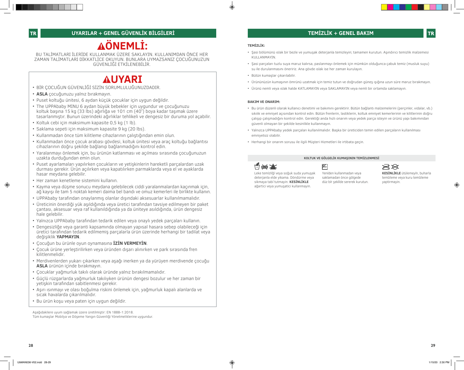# **ÖNEMLİ:**

BU TALİMATLARI İLERİDE KULLANMAK ÜZERE SAKLAYIN. KULLANIMDAN ÖNCE HER ZAMAN TALİMATLARI DİKKATLİCE OKUYUN. BUNLARA UYMAZSANIZ ÇOCUĞUNUZUN GÜVENLİĞİ ETKİLENEBİLİR.

# **AUYARI**

- BİR ÇOCUĞUN GÜVENLİĞİ SİZİN SORUMLULUĞUNUZDADIR.
- **ASLA** çocuğunuzu yalnız bırakmayın.
- Puset koltuğu ünitesi, 6 aydan küçük çocuklar için uygun değildir.
- The UPPAbaby MINU 6 aydan büyük bebekler için uygundur ve çocuğunuzu koltuk başına 15 kg (33 lbs) ağırlığa ve 101 cm (40") boya kadar taşımak üzere tasarlanmıştır. Bunun üzerindeki ağırlıklar tehlikeli ve dengesiz bir duruma yol açabilir.
- Koltuk cebi için maksimum kapasite 0,5 kg (1 lb).
- Saklama sepeti için maksimum kapasite 9 kg (20 lbs).
- Kullanmadan önce tüm kilitleme cihazlarının çalıştığından emin olun.
- Kullanmadan önce çocuk arabası gövdesi, koltuk ünitesi veya araç koltuğu bağlantısı cihazlarının doğru şekilde bağlanıp bağlanmadığını kontrol edin.
- Yaralanmayı önlemek için, bu ürünün katlanması ve açılması sırasında çocuğunuzun uzakta durduğundan emin olun.
- Puset ayarlamaları yapılırken çocukların ve yetişkinlerin hareketli parçalardan uzak durması gerekir. Ürün açılırken veya kapatılırken parmaklarda veya el ve ayaklarda hasar meydana gelebilir.
- Her zaman kenetleme sistemini kullanın.
- Kayma veya düşme sonucu meydana gelebilecek ciddi yaralanmalardan kaçınmak için, ağ kayışı ile tam 5 noktalı kemeri daima bel bandı ve omuz kemerleri ile birlikte kullanın.
- UPPAbaby tarafından onaylanmış olanlar dışındaki aksesuarlar kullanılmamalıdır.
- Üreticinin önerdiği yük aşıldığında veya üretici tarafından tavsiye edilmeyen bir paket çantası, aksesuar veya raf kullanıldığında ya da üniteye asıldığında, ürün dengesiz hale gelebilir.
- Yalnızca UPPAbaby tarafından tedarik edilen veya onaylı yedek parçaları kullanın.
- Dengesizliğe veya garanti kapsamında olmayan yapısal hasara sebep olabileceği için üretici tarafından tedarik edilmemiş parçalarla ürün üzerinde herhangi bir tadilat veya değişiklik **YAPMAYIN**.
- Çocuğun bu ürünle oyun oynamasına **İZİN VERMEYİN**.
- Çocuk ürüne yerleştirilirken veya üründen dışarı alınırken ve park sırasında fren kilitlenmelidir.
- Merdivenlerden yukarı çıkarken veya aşağı inerken ya da yürüyen merdivende çocuğu **ASLA** ürünün içinde bırakmayın.
- Çocuklar yağmurluk takılı olarak üründe yalnız bırakılmamalıdır.
- Güçlü rüzgarlarda yağmurluk takılıyken ürünün dengesi bozulur ve her zaman bir yetişkin tarafından sabitlenmesi gerekir.
- Aşırı ısınmayı ve olası boğulma riskini önlemek için, yağmurluk kapalı alanlarda ve sıcak havalarda çıkarılmalıdır.
- Bu ürün koşu veya paten için uygun değildir.

Aşağıdakilere uyum sağlamak üzere üretilmiştir: EN 1888-1:2018. Tüm kumaşlar Mobilya ve Döşeme Yangın Güvenliği Yönetmeliklerine uygundur.

## **TEMİZLİK:**

- Şasi bölümünü ıslak bir bezle ve yumuşak deterjanla temizleyin; tamamen kurutun. Aşındırıcı temizlik malzemesi KULLANMAYIN.
- Şasi parçaları tuzlu suya maruz kalırsa, paslanmayı önlemek için mümkün olduğunca çabuk temiz (musluk suyu) su ile durulanmasını öneririz. Ana gövde ıslak ise her zaman kurulayın.
- Bütün kumaşlar çıkarılabilir.
- Ürününüzün kumaşının ömrünü uzatmak için temiz tutun ve doğrudan güneş ışığına uzun süre maruz bırakmayın.
- Ürünü nemli veya ıslak halde KATLAMAYIN veya SAKLAMAYIN veya nemli bir ortamda saklamayın.

## **BAKIM VE ONARIM:**

• Bu ürün düzenli olarak kullanıcı denetimi ve bakımını gerektirir. Bütün bağlantı malzemelerini (perçinler, vidalar, vb.) sıkılık ve emniyet açısından kontrol edin. Bütün frenlerin, lastiklerin, koltuk emniyet kemerlerinin ve kilitlerinin doğru çalışıp çalışmadığını kontrol edin. Gerektiği anda hızlı onarım veya yedek parça isteyin ve ürünü yapı bakımından güvenli olmayan bir şekilde kesinlikle kullanmayın.

**KOLTUK VE GÖLGELİK KUMAŞININ TEMİZLENMESİ**

saklamadan önce gölgede düz bi̇r şeki̇lde sererek kurutun.

- Yalnızca UPPAbaby yedek parçaları kullanılmalıdır. Başka bir üreticiden temin edilen parçaların kullanılması emniyetsiz olabilir.
- Herhangi bir onarım sorusu ile ilgili Müşteri Hizmetleri ile irtibata geçin.





Leke temi̇zli̇ği̇ veya soğuk suda yumuşak deterjanla elde yikama. Döndürme veya sikmaya tabi̇ tutmayin. **KESİNLİKLE** ağartici veya yumuşatici kullanmayin.

 $\rtimes\!\!\!\!\times$ 

**KESİNLİKLE** ütülemeyi̇n, buharla temi̇zleme veya kuru temi̇zleme yaptirmayin.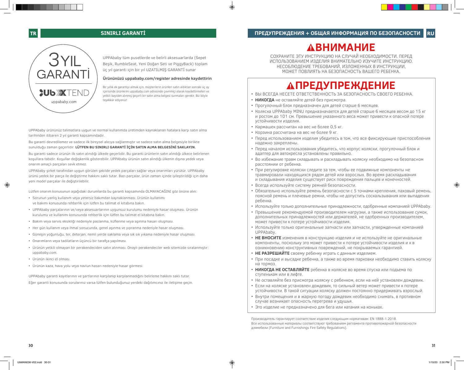**ВНИМАНИЕ**

# **TR SINIRLI GARANTİ**



UPPAbaby tüm pusetlerde ve belirli aksesuarlarda (Sepet Beşik, RumbleSeat, Yeni Doğan Seti ve PiggyBack) toplam üç yıl garanti için bir yıl UZATILMIŞ GARANTİ sunar

# **Ürününüzü uppababy.com/register adresinde kaydettirin**

Bir yıllık ek garantiyi almak için, müşterilerin ürünleri satın aldıktan sonraki üç ay içerisinde ürünlerini uppababy.com adresinde çevrimiçi olarak kaydettirmeleri ve yetkili bayiden alınmış geçerli bir satın alma belgesi sunmaları gerekir. Biz böyle teşekkür ediyoruz!

UPPAbaby ürününüz talimatlara uygun ve normal kullanımda üretimden kaynaklanan hatalara karşı satın alma tarihinden itibaren 2 yıl garanti kapsamındadır.

Bu garanti devredilemez ve sadece ilk bireysel alıcıya sağlanmıştır ve sadece satın alma belgesiyle birlikte sunulduğu zaman geçerlidir. **LÜTFEN BU SINIRLI GARANTİ İÇİN SATIN ALMA BELGESİNİ SAKLAYIN.**

Bu garanti sadece ürünün ilk satın alındığı ülkede geçerlidir. Bu garanti ürünlerin satın alındığı ülkece belirlenen koşullara tabidir. Koşullar değişkenlik gösterebilir. UPPAbaby ürünün satın alındığı ülkenin dışına yedek veya onarım amaçlı parçaları sevk etmez.

UPPAbaby şirket tarafından uygun görülen şekilde yedek parçaları sağlar veya onarımları yürütür. UPPAbaby ürünü yedek bir parça ile değiştirme hakkını saklı tutar. Bazı parçalar, ürün zaman içinde iyileştirildiği için daha yeni model parçalar ile değiştirilebilir.

Lütfen onarım konusunun aşağıdaki durumlarda bu garanti kapsamında OLMAYACAĞINI göz önüne alın:

- Sorunun yanlış kullanım veya yetersiz bakımdan kaynaklanması. Ürünün kullanımı ve bakımı konusunda rehberlik için lütfen bu talimat el kitabına bakın.
- UPPAbaby parçalarının ve/veya aksesuarlarının uygunsuz kurulumu nedeniyle hasar oluşması. Ürünün kurulumu ve kullanımı konusunda rehberlik için lütfen bu talimat el kitabına bakın.
- Bakım veya servis eksikliği nedeniyle paslanma, küflenme veya aşınma hasarı oluşması.
- Her gün kullanım veya ihmal sonucunda, genel aşınma ve yıpranma nedeniyle hasar oluşması.
- Güneşin yoğunluğu, ter, deterjan, nemli yerde saklama veya sık sık yıkama nedeniyle hasar oluşması.
- Onarımların veya tadilatların üçüncü bir tarafça yapılması.
- Ürünün yetkili olmayan bir perakendeciden satın alınması. Onaylı perakendeciler web sitemizde sıralanmıştır: uppababy.com.
- Ürünün ikinci el olması.
- Ürünün kaza, hava yolu veya navlun hasarı nedeniyle hasar görmesi.

UPPAbaby garanti kayıtlarının ve şartlarının karşılanıp karşılanmadığını belirleme hakkını saklı tutar. Eğer garanti konusunda sorularınız varsa lütfen bulunduğunuz yerdeki dağıtımcınız ile iletişime geçin.

СОХРАНИТЕ ЭТУ ИНСТРУКЦИЮ НА СЛУЧАЙ НЕОБХОДИМОСТИ. ПЕРЕД ИСПОЛЬЗОВАНИЕМ ИЗДЕЛИЯ ВНИМАТЕЛЬНО ИЗУЧИТЕ ИНСТРУКЦИЮ. НЕСОБЛЮДЕНИЕ ТРЕБОВАНИЙ, ИЗЛОЖЕННЫХ В ИНСТРУКЦИИ, МОЖЕТ ПОВЛИЯТЬ НА БЕЗОПАСНОСТЬ ВАШЕГО РЕБЕНКА.

# **ПРЕДУПРЕЖДЕНИЕ**

- ВЫ ВСЕГДА НЕСЕТЕ ОТВЕТСТВЕННОСТЬ ЗА БЕЗОПАСНОСТЬ СВОЕГО РЕБЕНКА.
- **НИКОГДА** не оставляйте детей без присмотра.
- Прогулочный блок предназначен для детей старше 6 месяцев.
- Коляска UPPAbaby MINU предназначается для детей старше 6 месяцев весом до 15 кг и ростом до 101 см. Превышение указанного веса может привести к опасной потере устойчивости изделия.
- Кармашек рассчитан на вес не более 0,5 кг.
- Корзина рассчитана на вес не более 9 кг.
- Перед использованием изделия убедитесь в том, что все фиксирующие приспособления надежно закреплены.
- Перед началом использования убедитесь, что корпус коляски, прогулочный блок и адаптер для автокресла установлены правильно.
- Во избежание травм складывать и раскладывать коляску необходимо на безопасном расстоянии от ребенка.
- При регулировке коляски следите за тем, чтобы ее подвижные компоненты не травмировали находящихся рядом детей или взрослых. Во время раскладывания и складывания изделия существует риск повреждения пальцев и конечностей.
- Всегда используйте систему ремней безопасности.
- Обязательно используйте ремень безопасности с 5 точками крепления, паховый ремень, поясной ремень и плечевые ремни, чтобы не допустить соскальзывания или выпадения ребенка.
- Используйте только дополнительные принадлежности, одобренные компанией UPPAbaby.
- Превышение рекомендуемой производителем нагрузки, а также использование сумок, дополнительных принадлежностей или держателей, не одобренных производителем, может привести к потере устойчивости изделия.
- Используйте только оригинальные запчасти или запчасти, утвержденные компанией UPPAbaby.
- **НЕ ВНОСИТЕ** изменения в конструкцию изделия и не используйте не оригинальные компоненты, поскольку это может привести к потере устойчивости изделия и к в озникновению конструктивных повреждений, не покрываемых гарантией.
- **НЕ РАЗРЕШАЙТЕ** своему ребенку играть с данным изделием.
- При посадке и высадке ребенка, а также во время парковки необходимо ставить коляску на тормоз.
- **НИКОГДА НЕ ОСТАВЛЯЙТЕ** ребенка в коляске во время спуска или подъема по ступенькам или в лифте.
- Не оставляйте без присмотра коляску с ребенком, если на ней установлен дождевик.
- Если на коляске установлен дождевик, то сильный ветер может привести к потере устойчивости. В такой ситуации коляску должен постоянно придерживать взрослый.
- Внутри помещения и в жаркую погоду дождевик необходимо снимать, в противном случае возникает опасность перегрева и удушья.
- Это изделие не предназначено для бега или катания на коньках.

Производитель гарантирует соответствие изделия следующим нормативам: EN 1888-1:2018. Все использованные материалы соответствуют требованиям регламента противопожарной безопасности длямебели (Furniture and Furnishings Fire Safety Regulations).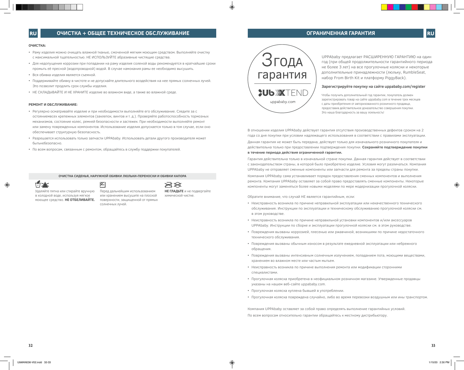### **ОЧИСТКА:**

- Раму изделия можно очищать влажной тканью, смоченной мягким моющим средством. Выполняйте очистку с максимальной тщательностью. НЕ ИСПОЛЬЗУЙТЕ абразивные чистящие средства.
- Для недопущения коррозии при попадании на раму изделия соленой воды рекомендуется в кратчайшие сроки промыть её пресной (водопроводной) водой. В случае намокания рамы ее необходимо высушить.
- Вся обивка изделия является съемной.
- Поддерживайте обивку в чистоте и не допускайте длительного воздействия на нее прямых солнечных лучей. Это позволит продлить срок службы изделия.
- НЕ СКЛАДЫВАЙТЕ И НЕ ХРАНИТЕ изделие во влажном виде, а также во влажной среде.

## **РЕМОНТ И ОБСЛУЖИВАНИЕ:**

- Регулярно осматривайте изделие и при необходимости выполняйте его обслуживание. Следите за с остояниемвсех крепежных элементов (заклепок, винтов и т. д.). Проверяйте работоспособность тормозных механизмов, состояние колес, ремней безопасности и застежек. При необходимости выполняйте ремонт или замену поврежденных компонентов. Использование изделия допускается только в том случае, если оно обеспечивает структурную безопасность.
- Разрешается использовать только запчасти UPPAbaby. Использовать детали другого производителя может бытьнебезопасно.
- По всем вопросам, связанным с ремонтом, обращайтесь в службу поддержки покупателей.

É

**ОЧИСТКА СИДЕНЬЯ, НАРУЖНОЙ ОБИВКИ ЛЮЛЬКИ-ПЕРЕНОСКИ И ОБИВКИ КАПОРА**



Удаляйте пятна или стирайте вручную в холодной воде, используя мягкое моющее средство. **НЕ ОТБЕЛИВАЙТЕ.**

Перед дальнейшим использованием или хранением высушите на плоской поверхности, защищенной от прямых солнечных лучей.

 $\rtimes\!\!\!\!\times$ **НЕ ГЛАДЬТЕ** и не подвергайте химической чистке.



**ОГРАНИЧЕННАЯ ГАРАНТИЯ RU**

UPPAbaby предлагает РАСШИРЕННУЮ ГАРАНТИЮ на один год (при общей продолжительности гарантийного периода не более 3 лет) на все прогулочные коляски и некоторые дополнительные принадлежности (люльку, RumbleSeat, набор From Birth Kit и платформу PiggyBack).

### **Зарегистрируйте покупку на сайте uppababy.com/register**

Чтобы получить дополнительный год гарантии, покупатель должен зарегистрировать товар на сайте uppababy.com в течение трех месяцев с даты приобретения от авторизованного розничного продавца, предоставив действительное доказательство совершения покупки. Это наша благодарность за вашу лояльность!

В отношении изделия UPPAbaby действует гарантия отсутствия производственных дефектов сроком на 2 года со дня покупки при условии надлежащего использования в соответствии с правилами эксплуатации. Данная гарантия не может быть передана, действует только для изначального розничного покупателя и действительна только при предоставлении подтверждения покупки. **Сохраняйте подтверждение покупки в течение периода действия ограниченной гарантии.** 

Гарантия действительна только в изначальной стране покупки. Данная гарантия действует в соответствии с законодательством страны, в которой было приобретено изделие. Условия могут различаться. Компания UPPAbaby не отправляет сменные компоненты или запчасти для ремонта за пределы страны покупки.

Компания UPPAbaby сама устанавливает порядок предоставления сменных компонентов и выполнения ремонта. Компания UPPAbaby оставляет за собой право предоставлять сменные компоненты. Некоторые компоненты могут заменяться более новыми моделями по мере модернизации прогулочной коляски.

Обратите внимание, что случай НЕ является гарантийным, если:

- Неисправность возникла по причине неправильной эксплуатации или некачественного технического обслуживания. Инструкции по эксплуатации и техническому обслуживанию прогулочной коляски см. в этом руководстве.
- Неисправность возникла по причине неправильной установки компонентов и/или аксессуаров UPPAbaby. Инструкции по сборке и эксплуатации прогулочной коляски см. в этом руководстве.
- Повреждения вызваны коррозией, плесенью или ржавчиной, возникшими по причине недостаточного технического обслуживания.
- Повреждения вызваны обычным износом в результате ежедневной эксплуатации или небрежного обращения.
- Повреждения вызваны интенсивным солнечным излучением, попаданием пота, моющими веществами, хранением во влажном месте или частым мытьем.
- Неисправность возникла по причине выполнения ремонта или модификации сторонними специалистами.
- Прогулочная коляска приобретена в неофициальном розничном магазине. Утвержденные продавцы указаны на нашем веб-сайте uppababy.com.
- Прогулочная коляска куплена бывшей в употреблении.
- Прогулочная коляска повреждена случайно, либо во время перевозки воздушным или ины транспортом.

Компания UPPAbaby оставляет за собой право определять выполнение гарантийных условий. По всем вопросам относительно гарантии обращайтесь к местному дистрибьютору.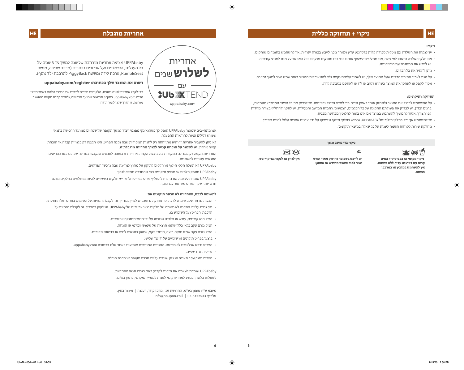# **HE ניקוי + תחזוקה כללית**

# **אחריות מוגבלת HE**

### **ניקוי:**

- יש לנקות את השלדה עם מטלית טבולה קלות בדטרגנט עדין ולאחר מכן, לייבש בצורה יסודית. אין להשתמש בחומרים שוחקים.
- אם חלקי השלדה נחשפו למי מלח, אנו ממליצים לשטוף אותם במי ברז מתוקים מוקדם ככל האפשר על מנת למנוע קורוזיה. יש לייבש את המסגרת עם הירטבותה.
	- ניתן להסיר את כל הבדים.
- על מנת לאריך את חיי הבדים שעל המוצר שלך, יש לשמור עליהם נקיים ולא להשאיר את המוצר באור שמש ישיר למשך זמן רב.
	- אסור לקפל או לאחסן את המוצר כשהוא רטוב או לח או לאחסנו בסביבה לחה.

### **תחזוקה ותיקונים:**

• על המשתמש לבדוק את המוצר ולתחזק אותו באופן סדיר. כדי לוודא הידוק ובטיחות, יש לבדוק את כל הציוד המחבר )מסמרות, ברגים וכד'). יש לבדוק את פעולתם התקינה של כל הבלמים, הצמיגים, רתמות המושב והנעילות. יש לתקן ולהחליף בצורה מיידית לפי הצורך. אסור להמשיך להשתמש במוצר אם אינו בטוח לחלוטין מבחינה מבנית.

**ניקוי בדי מושב וגגון** 

• יש להשתמש אך ורק בחלקי חילוף של UPPABABY. שימוש בחלקי חילוף שסופקו על ידי יצרנים אחרים עלול להיות מסוכן.

P

• מחלקת שירות לקוחות תשמח לענות על כל שאלה בנושאי תיקונים.



 **ניקוי מקומי או בכביסת יד במים קרים עם דטרגנט עדין. ללא סחיטה. אין להשתמש במלבין או במרככי כביסה.**



**ישיר לפני שימוש מחודש או אחסון.** 



UPPAbaby מציעה אחריות מורחבת של שנה למשך עד 3 שנים על

**רשום את המוצר שלך בכתובת: register/com.uppababy**

כל העגלות, הטיולונים ועל אביזרים נבחרים (מרכב שכיבה, מושב RumbleSeat, ערכת לידה ומשטח PiggyBack להרכבת ילד נוסף).

כדי לקבל אחריות לשנה נוספת, הלקוחות חייבים לרשום את המוצר שלהם באתר האינ־ טרנט uppababy.com בתוך 3 חודשים ממועד הרכישה, ולהציג קבלה תקפה ממשווק מורשה. זו הדרך שלנו לומר תודה!

> אנו מתחייבים שמוצר UPPAbaby סופק לך כשהוא נקי מפגמי ייצור למשך תקופה של שנתיים ממועד הרכישה בתנאי שימוש רגילים וציות להוראות ההפעלה.

לא ניתן להעביר אחריות זו והיא מתייחסת רק לחנות המקורית שבה נקנה הפריט. היא תקפה רק בלוויית קבלה או הוכחת קנייה אחרת. **יש לשמור על הוכחת קנייה לצורך אחריות מוגבלת זו.**

האחריות תקפה רק במדינה המקורית בה בוצעה הקניה. אחריות זו כפופה לתנאים שנקבעו במדינה שבה נרכשו הפריטים. התנאים עשויים להשתנות.

UPPAbaby לא תשלח חלקי חילוף או חלקים לתיקון אל מחוץ למדינה שבה נרכשו הפריטים.

UPPAbaby תספק חלפים או תבצע תיקונים כפי שהחברה תמצא לנכון.

UPPAbaby שומרת לעצמה את הזכות להחליף פריט בפריט חלופי. יש חלקים העשויים להיות מוחלפים בחלקים מדגם חדש יותר שכן הפריט משתפר עם הזמן.

### **לתשומת לבכם, האחריות לא תכסה תיקונים אם:**

אחריות

**לשלוש**שנים

עם

**SUB XTEND** 

uppababy.com

- הבעיה נגרמה עקב שימוש לרעה או תחזוקה גרועה. יש לעיין במדריך זה לקבלת הנחיות על השימוש בפריט ועל תחזוקתו.
	- נזק נגרם על ידי התקנה לא נאותה של חלקים ו/או אביזרים של UPPAbaby. יש לעיין במדריך זה לקבלת הנחיות על הרכבת הפריט ועל השימוש בו.
		- הנזק הוא קורוזיה, עובש או חלודה שנגרמו על ידי חוסר תחזוקה או שירות.
			- הנזק נגרם עקב בלאי כללי שהוא תוצאה של שימוש יומיומי או הזנחה.
		- הנזק נגרם עקב שמש חזקה, זיעה, חומרי ניקוי, אחסון בתנאים לחים או כביסות תכופות.
			- בוצעו בפריט תיקונים או שינויים על ידי צד שלישי.
		- הפריט נרכש אצל גורם לא מורשה. החנויות המורשות מופיעות באתר שלנו בכתובת com.uppababy.
			- פריט הוא יד שנייה.
			- הפריט ניזוק עקב תאונה או נזק שנגרם על ידי חברת תעופה או חברת הובלה.

UPPAbaby שומרת לעצמה את הזכות לקבוע באם כובדו תנאי האחריות. לשאלות כלשהן בנוגע לאחריות, נא לפנות למפיץ המקומי, פופון בע"מ.

מיובא ע"י: פופון בע"מ, החרושת 19 , מרכז קידר, רעננה | מיוצר בסין. info@poupon.co.il | 03-6422533 :טלפון

**5**

**6**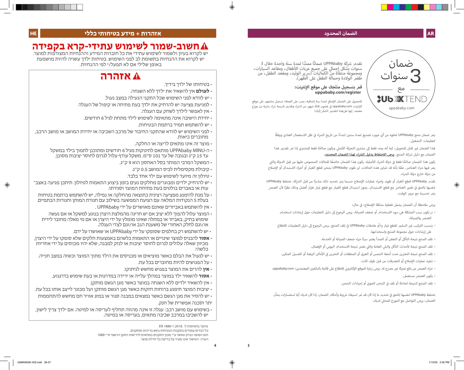# **AR الضمان المحدود**



.<br>تقدم شركة UPPAbaby ضمانًا ممتدًا لمدة سنة واحدة خلال 3<br>. بقدم شركة OPPAbaby صمانا ممتدا لمدة سنة واحدة حلال 3<br>سنوات بشكل إجمالي على جميع عربات الأطفال، ومقاعد السيارات،<br>ومجموعة منتقاة من الكماليات (سرير الوليد، ومقعد الطفل، من طقمر الولادة وحمالة الطفلَ على الظّهر). ٛ

# **register/com.uppababy َ قم بتسجيل منتجك عىل موقع ا إلن� <sup>ت</sup> نت:**

للحصول على الضمان الإضافي لمدة سنة إضافية، يجب على العملاء تسجيل منتجهم على موقع<br>.. ف الإنترنت uppababy.com في غضون ثلاثة شهور من الشراء وتقديم قسيمة شراء سارية من موزع ف معتمد. إنها طريقتنا لتقديم الشكر إليك!

> بتم ضمان منتج UPPAbaby لخلوه من أي عيوب تصنيع لمدة سنتين ابتداءً من تاريخ الشراء في ظل الاستعمال العادي ووفقًا ف لتعليمات التشغيل.

> أهذا الضمان غير قابل للتحويل، كما أنه يمتد فقط إلى مشتري التجزئة الأصلي ويكون صالحًا فقط للمشتري إذا تمر تقديم هذا الضمان مع دليل ش<sub>ا</sub>ئه المنتج. **يرجى الاحتفاظ بدليل الش<sub>ا</sub>اء لهذا الضمان المحدود.**

ي أبكون هذا الضمان صالحًا فقط في دولة الشراء الأصلية. يكون هذا الضمان خاضعًا للحالات المنصوص عليها من قِبل الدولة والتي ف نتم فيها شءا العناص. علمًا بأنه قد تتباين هذه الحالات. لن تقوم UPPAbaby بشحن قطع الغيار أو أجزاء الاستبدال أو الإصلاح ش من دولة خارج دولة ال�اء.

تقدم UPPAbaby قطع الغيار أو تقوم بإجراء عمليات الإصلاح حسبما يتمر تحديد ذلك مناسبًا من قبل الش<sub>ر</sub>كة. تحتفظ UPPAbaby لنفسها بالحق في تغيير العناصر مع قطع الاستبدال.<br>لنفسها بالحق في تغيير العناصر مع قطع الاستبدال. يجوز استبدال قطع الغيار مع قطع غيار طراز أفضل وذلك نظرًا لأن العنصر ف يتم تحسينه مع مرور الوقت.

> برجى ملاحظة أن الضمان يشمل تغطية مشكلة الإصلاح، في حال: ف

- ن يكون سبب المشكلة هي سوء االستخدام أو ضعف الصيانة. يرجى الرجوع إىل دليل التعليمات حول إرشادات استخدام العنص والصيانة.
- ۰ يتسبب التركيب غير السليم لقطع غيار و/أو ملحقات UPPAbaby في تلف المنتج. يرجى الرجوع إلى دليل التعليمات للاطلاع ف عىل إرشادات حول مجموعة المنتج واستخدامها.
	- · تلف المنتج نتيجة التآكل أو التعفن أو الصدأ يعتبر سببًا جراء ضعف الصيانة أو الخدمة**.**
	- · تلف المنتج نتيجة لأحداث التآكل والبلي العامة والتي تعتبر نتيجة الاستخدام اليومي أو الإهمال.<br>· أ
	- ، تلف المنتج نتيجة التخزين تحت أشعة الشمس أو العرق أو المنظفات أو التخزين في الأماكن الرطبة أو الغسيل المتكرر. ف
		- تنفيذ عمليات ا إلصالح أو التعديالت من قبل طرف ثالث.
- ، شراء العنصر من بائع تجزئة غير مصرح له. يرجى زيارة الموقع الإلكتروني للاطلاع على قائمة بالبائعين المعتمدين: uppababy.com.
	- يكون العنرص مستعمل.
	- · تلف المنتج كنتيجة لحادثة أو تلف في الشحن الجوي أو إجراءات الشحن.<br>. ف

تحتفظ UPPAbaby لنفسها بالحق في تحديد ما إذا كان قد تمر استيفاء شروط وأحكامر الضمان. إذا كان لديك أية استفسارات بشأن ف ي الضمان، يرجى التواصل مع الموزع المحل لديك.

# **חשוב-שמור לשימוש עתידי-קרא בקפידה**

יש לקרוא בעיון ולשמור לשימוש עתידי את כל חוברות המידע וההנחיות המצורפות למוצר. יש לקרוא את ההנחיות בתשומת לב לפני השימוש. בטיחות ילדך עשויה להיות מושפעת באופן שלילי אם לא תפעל/י לפי ההנחיות.

# **אזהרה**

- בטיחותו של ילדך בידיך.
- **לעולם** אין להשאיר את ילדך ללא השגחה.
- יש לוודא לפני השימוש שכל התקני הנעילה במצב נעול.
- למניעת פציעה יש להרחיק את ילדך בעת פתיחה או קיפול של העגלה
	- אין לאפשר לילדך לשחק עם העגלה.
	- יחידת הישיבה אינה מתאימה לשימוש לילד מתחת לגיל 6 חודשים.
		- יש להשתמש תמיד ברתמת הבטיחות.
- לפני השימוש יש לוודא שהתקני החיבור של מרכב השכיבה או יחידת המושב או מושב הרכב, מחוברים כיאות.
	- מוצר זה אינו מתאים לריצה או החלקה.
	- ה-MINU UPPAbaby מותאם לתינוקות מגיל 6 חודשים ומתוכנן לתמוך בילד במשקל עד 15 ק"ג ובגובה של עד 101 ס"מ. משקל עודף עלול לגרום לחוסר יציבות מסוכן.
		- המשקל המרבי המותר בסל האחסון הוא 9 ק"ג.
			- קיבולת מקסימלית לכיס המושב 0.5 ק"ג.
			- טיולון זה מיועד לשימוש עם ילד אחד בלבד.
- יש להרחיק ילדים ומבוגרים מחלקים נעים בזמן ביצוע התאמות לטיולון. תיתכן פגיעה באצב־ עות או באברים בולטים בעת פתיחת המוצר וסגירתו.
- על מנת להימנע מפציעה רצינית כתוצאה מהחלקה או נפילה, יש להשתמש ברתמת בטיחות בעלת 5 הנקודות המלאה עם רצועת המפשעה בשילוב עם חגורת המותן וחגורות הכתפיים.
	- אין להשתמש באביזרים שאינם מאושרים על ידי UPPAbaby .
	- המוצר עלול להפוך ללא יציב אם יש חריגה מהמלצת היצרן בנוגע למשקל או אם נעשה שימוש בתיק, באביזר או במתלה שאינו מומלץ על ידי היצרן או אם מי מאלה מחובר לידית או/וגם לחלק האחורי של משענת הגב או/וגם לצדי העגלה.
		- יש להשתמש רק בחלפים שסופקו על ידי UPPAbaby או שאושרו על ידם.
- **אסור** להכניס למוצר שינויים או התאמות כלשהם באמצעות חלקים שלא סופקו על ידי היצרן, מכיוון שאלה עלולים לגרום לחוסר יציבות או לנזק למבנה, שלא יהיו מכוסים על ידי אחריות כלשהי.
- יש לנעול את הבלם כאשר מוציאים או מכניסים את הילד מתוך המוצר וכשזה במצב חנייה.
	- על הפגושים להיות מחוברים בכל עת.
	- **אין** להרים את המוצר בפגוש מחשש לניתוקו.
	- **אסור** להשאיר ילד במוצר במהלך עלייה או ירידה במדרגות או בעת שימוש בדרגנוע.
		- אין להשאיר ילדים ללא השגחה במוצר כאשר מגן הגשם מותקן.
- יציבות המוצר תיפגע ברוחות חזקות כאשר מגן הגשם מותקן ועל מבוגר לייצב אותו בכל עת.
- יש להסיר את מגן הגשם כאשר נמצאים במבנה סגור או במזג אוויר חם מחשש להתחממות יתר וסכנה אפשרית של חנק.
- בשימוש עם מושב רכב: עגלה זו אינה מהווה תחליף לעריסה או למיטה. אם ילדך צריך לישון, יש להשכיבו במרכב שכיבה מתאים, בעריסה או במיטה.

 מיוצר בתאימות ל: 1888-1:2018. EN כל הבדים עומדים בתקנות הבטיחות באש בריהוט ומתקנים. דגם המוצר נבדק ואושר ע"י מכון התקנים כמתאים לדרישות התקן הרשמי ת"י 1888 הערה: האישור אינו מעיד על בדיקת כל יחידת מוצר.

**3**

**4**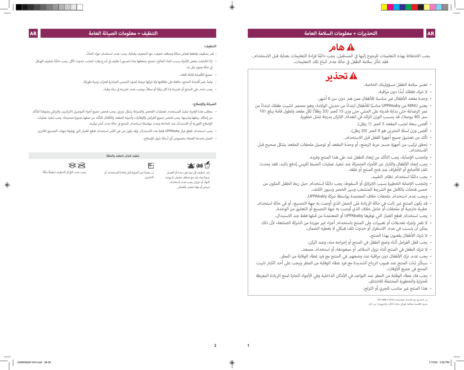# **هام**

يجب الاحتفاظ بهذه التعليمات للرجوع إليها في المستقبل. يجب دائمًا قراءة التعليمات بعناية قبل الاستخدام.<br>-ف فقد تتأثر سلامة الطّفل في حالة عدم اتباع تلك التعليمات. ف

# **تحذير**

- تعتبر سالمة الطفل مسؤوليتك الخاصة.
	- ً ال تترك طفلك أبدا دون مراقبة.
- .<br>• وحدة مقعد الأطفال غير مناسبة للأطفال ممن همر دون سن 6 أشهر.
- ֧֧֧֧֦֧֧ׅ֧֦֧֚֚֚֘֝֝֝֟֓֝֬֝֬֝֓֝֬֝֓֝֬֝֬֝֓֝֬֝֓֝֬֝֟֓֝֬֜֓ · يعتبر MINU من UPPAbaby مناسبًا للأطفال ابتداءً من حديثي الولادة، وهو مصمم لتثبيت طفلك ابتداءً من<br>عمر الرضاعة حتى بداية قدرته على المشي حتى وزن 15 كجم (33 رطلاً) لكل مقعد ولطول قامة يبلغ 101 سمر (40 بوصة). قد يتسبب الوزن الزائد في انعدام الاتزان بدرجة تمثل خطورة.
	- أقصى سعة لجيب المقعد 5 كجم )1 رطل(.
	- أقصى وزن لسلة التخزين هو 9 كجم )20 رطل(.
	- تأكد من تعشيق جميع أجهزة القفل قبل االستخدام.
- وتحقق تركيب من أجهزة جسمر عربة الرضع، أو وحدة المقعد أو توصيل ملحقات المقعد بشكل صحيح قبل<br>الاستخدام .
	- ولتجنب ا إلصابة، يجب التأكد من إبعاد الطفل عند طي هذا المنتج وفرده.
- ُدفع باليد. فقد يحدث أجزاء المتحركة عند تنفيذ عمليات الضبط لكرسي ي أطفال والكبار عن ال · يجب إبعاد الأطفال والكبار عن الأجزاء المتحركة ع<br> تلف للأصابع أو الأطراف عند فتح المنتج أو غلقه.
	- ً يجب دائما استخدام نظام التقييد.
- ولتجنب الإصابة الخطيرة بسبب الانزلاق أو السقوط، يجب دائمًا استخدام حبل ربط الطفل المكون من<br>خمس فتحات بالكامل مع الشريط المتشعب وسير الخصر وسيور الكتف.
	- ويجب عدم استخدام ملحقات خالف المعتمدة بواسطة شركة UPPAbaby.
- قد يكون المنتج غير ثابت في حالة الزيادة على الحمل الذي أوصت به جهة التصنيع، أو في حالة استخدام<br> حقيبة خارجية أو ملحقات أو حامل خلاف الذي أوصت به جهة التصنيع أو التعليق من الوحدة.
	- يجب استخدام قطع الغيار التي توفرها UPPAbaby أو المعتمدة من قبلها فقط عند االستبدال.
- أن ذلك يمكن أن يتسبب في عدم االستقرار أو حدوث تلف هيكلي ال يغطيه الضمان. ال تقم بإجراء تعديالت أو تغييرات على المنتج باستخدام أجزاء غير موردة من الشركة الصانعة، ل
	- أطفال يلعبون بهذا المنتج. ال تترك ال
	- يجب قفل الفرامل أثناء وضع الطفل في المنتج أو إخراجه منه، وعند الركن.
	- ال تترك الطفل في المنتج أثناء نزول الساللم أو صعودها، أو استخدام مصعد.
	- ر<br>· يجب عدم ترك الأطفال دون مراقبة عند وضعهم في المنتج مع فرد غطاء الوقاية من المطر.
- أوقات. سيتأثر ثبات المنتج عند هبوب الرياح الشديدة مع فرد غطاء الوقاية من المطر ويجب على أحد الكبار تثبيت المنتج في جميع ال
- سب بي سبيح سي سبي<br>• يجب فك غطاء الوقاية من المطر عند التواجد في الأماكن الداخلية وفي الأجواء الحارة لمنع الزيادة المفرطة<br> للحرارة والخطورة المحتملة للاختناق.
	- هذا المنتج غير مناسب للجري أو التزلج.

نر التصنيع مع الامتثال لمواصفات:1:2018-1888 EN.<br>جميع الأقمشة مطابقة للوائح سلامة الأثاث والتجهيزات من النار.

# **التنظيف:**

- قم بتنظيف بقطعة قماش مبللة ومنظف خفيف، مع التجفيف بعناية. يجب عدم استخدام مواد الحكّ .
- إذا انكشفت بعض الأجزاء بسبب الماء المالح، ننصح بشفطها بماء (صنبور) نظيف في أسرع وقت لتجنب حدوث تآكل. يجب دائمًا تجفيف الهيكل ֠ ي حالة وجود بلل به. � ֠
	- .<br>• جميع الأقمشة قابلة للفك.
	- ولمدّ عمر أقمشة المنتج، حافظ على نظافتها ولا تتركها عرضة لضوء الشمس المباشرة لفترات زمنية طويلة.
		- يجب عدم طي المنتج أو تخزينه إذا كان رطبًا أو مبللاً، ويجب عدم تخزينه في بيئة رطبة.<br>. :<br>:

# **الصيانة وا إلصالح:**

- يتطلب هذا الإجراء تنفيذ المستخدم لعمليات الفحص والصيانة بشكل دوري. يجب فحص جميع أجزاء التوصيل (البراشيمر والبراغي وغيرها) للتأكد .<br>من إحكام ربطها وتثبيتها. يجب فحص جميع الفرامل والإطارات وأحزمة المقعد والأقفال للتأكد من عملها بصورة صحيحة. يجب تنفيذ عمليات الإصلاح الفورية أو الاستبدال عند الحاجة وعدم مواصلة استخدام المنتج في حالة عدم أمان تركيبه.<br>. :<br>:
- يجب استخدام قطع غيار UPPAbaby فقط عند الاستبدال. وقد يكون من غير الآمن استخدام قطع الغيار التي توفرها جهات التصنيع الأخرى.
	- اتصل بخدمة العمالء بخصوص أي أسئلة حول ا إلصالح.

# **تنظيف قماش المقعد والمظلة**

\*磁网 يتم تنظيف كل جزء عىل حده أو الغسل

يدويًا بِماء بارد مع منظف خفيف. لا يوجد التواء أو دوران. يجب عدم استخدام مبيض أو مواد تنعيم للقماش.

 $\mathbb{Z}$ ً ل، بعيدا عن الحرارة قبل إعادة االستخدام أو التخزين.

 $\otimes$ يجب عدمر الكيّ أو التنظيف تنظيفًا جافًا يّ

**1**

**2**